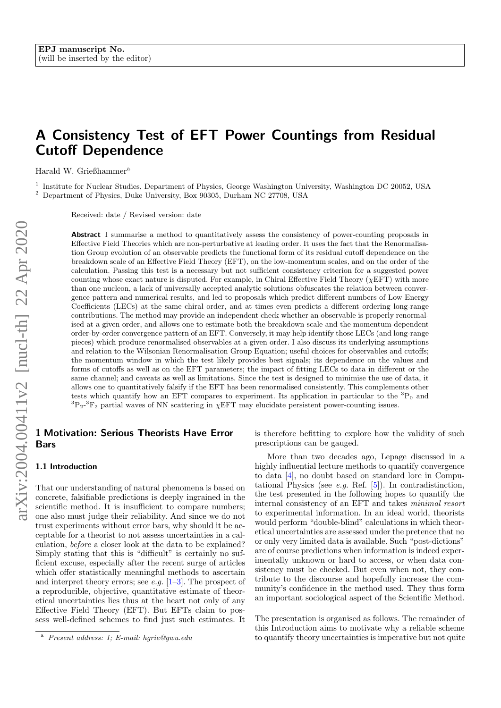# A Consistency Test of EFT Power Countings from Residual Cutoff Dependence

Harald W. Grießhammer<sup>a</sup>

1 Institute for Nuclear Studies, Department of Physics, George Washington University, Washington DC 20052, USA  $^2$  Department of Physics, Duke University, Box 90305, Durham NC 27708, USA

Received: date / Revised version: date

Abstract I summarise a method to quantitatively assess the consistency of power-counting proposals in Effective Field Theories which are non-perturbative at leading order. It uses the fact that the Renormalisation Group evolution of an observable predicts the functional form of its residual cutoff dependence on the breakdown scale of an Effective Field Theory (EFT), on the low-momentum scales, and on the order of the calculation. Passing this test is a necessary but not sufficient consistency criterion for a suggested power counting whose exact nature is disputed. For example, in Chiral Effective Field Theory ( $\chi$ EFT) with more than one nucleon, a lack of universally accepted analytic solutions obfuscates the relation between convergence pattern and numerical results, and led to proposals which predict different numbers of Low Energy Coefficients (LECs) at the same chiral order, and at times even predicts a different ordering long-range contributions. The method may provide an independent check whether an observable is properly renormalised at a given order, and allows one to estimate both the breakdown scale and the momentum-dependent order-by-order convergence pattern of an EFT. Conversely, it may help identify those LECs (and long-range pieces) which produce renormalised observables at a given order. I also discuss its underlying assumptions and relation to the Wilsonian Renormalisation Group Equation; useful choices for observables and cutoffs; the momentum window in which the test likely provides best signals; its dependence on the values and forms of cutoffs as well as on the EFT parameters; the impact of fitting LECs to data in different or the same channel; and caveats as well as limitations. Since the test is designed to minimise the use of data, it allows one to quantitatively falsify if the EFT has been renormalised consistently. This complements other tests which quantify how an EFT compares to experiment. Its application in particular to the  ${}^{3}P_0$  and  ${}^{3}P_{2}$ - ${}^{3}F_{2}$  partial waves of NN scattering in  $\chi$ EFT may elucidate persistent power-counting issues.

## 1 Motivation: Serious Theorists Have Error Bars

#### 1.1 Introduction

That our understanding of natural phenomena is based on concrete, falsifiable predictions is deeply ingrained in the scientific method. It is insufficient to compare numbers; one also must judge their reliability. And since we do not trust experiments without error bars, why should it be acceptable for a theorist to not assess uncertainties in a calculation, before a closer look at the data to be explained? Simply stating that this is "difficult" is certainly no sufficient excuse, especially after the recent surge of articles which offer statistically meaningful methods to ascertain and interpret theory errors; see e.g.  $[1-3]$  $[1-3]$ . The prospect of a reproducible, objective, quantitative estimate of theoretical uncertainties lies thus at the heart not only of any Effective Field Theory (EFT). But EFTs claim to possess well-defined schemes to find just such estimates. It is therefore befitting to explore how the validity of such prescriptions can be gauged.

More than two decades ago, Lepage discussed in a highly influential lecture methods to quantify convergence to data [\[4\]](#page-13-2), no doubt based on standard lore in Computational Physics (see e.g. Ref.  $[5]$ ). In contradistinction, the test presented in the following hopes to quantify the internal consistency of an EFT and takes minimal resort to experimental information. In an ideal world, theorists would perform "double-blind" calculations in which theoretical uncertainties are assessed under the pretence that no or only very limited data is available. Such "post-dictions" are of course predictions when information is indeed experimentally unknown or hard to access, or when data consistency must be checked. But even when not, they contribute to the discourse and hopefully increase the community's confidence in the method used. They thus form an important sociological aspect of the Scientific Method.

The presentation is organised as follows. The remainder of this Introduction aims to motivate why a reliable scheme to quantify theory uncertainties is imperative but not quite

<sup>a</sup> Present address: 1; E-mail: hgrie@gwu.edu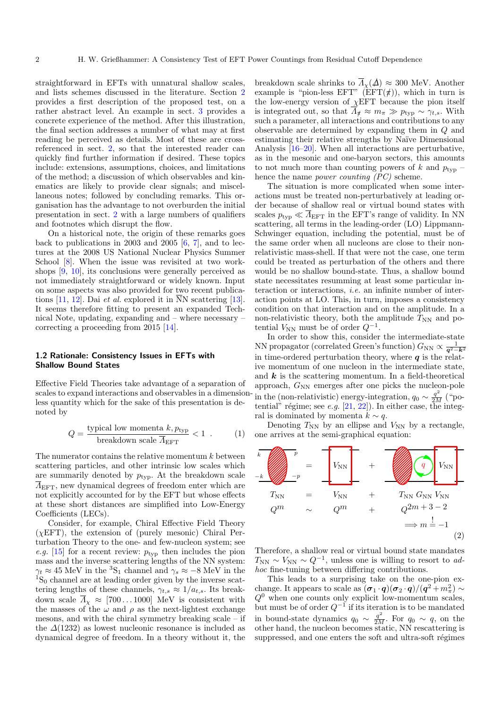straightforward in EFTs with unnatural shallow scales, and lists schemes discussed in the literature. Section [2](#page-3-0) provides a first description of the proposed test, on a rather abstract level. An example in sect. [3](#page-6-0) provides a concrete experience of the method. After this illustration, the final section addresses a number of what may at first reading be perceived as details. Most of these are crossreferenced in sect. [2,](#page-3-0) so that the interested reader can quickly find further information if desired. These topics include: extensions, assumptions, choices, and limitations of the method; a discussion of which observables and kinematics are likely to provide clear signals; and miscellaneous notes; followed by concluding remarks. This organisation has the advantage to not overburden the initial presentation in sect. [2](#page-3-0) with a large numbers of qualifiers and footnotes which disrupt the flow.

On a historical note, the origin of these remarks goes back to publications in 2003 and 2005  $[6, 7]$  $[6, 7]$  $[6, 7]$ , and to lectures at the 2008 US National Nuclear Physics Summer School [\[8\]](#page-13-6). When the issue was revisited at two workshops [\[9,](#page-13-7) [10\]](#page-13-8), its conclusions were generally perceived as not immediately straightforward or widely known. Input on some aspects was also provided for two recent publica-tions [\[11,](#page-13-9) [12\]](#page-13-10). Dai *et al.* explored it in  $\overline{N}N$  scattering [\[13\]](#page-13-11). It seems therefore fitting to present an expanded Technical Note, updating, expanding and – where necessary – correcting a proceeding from 2015 [\[14\]](#page-13-12).

#### 1.2 Rationale: Consistency Issues in EFTs with Shallow Bound States

Effective Field Theories take advantage of a separation of scales to expand interactions and observables in a dimensionless quantity which for the sake of this presentation is denoted by

<span id="page-1-1"></span>
$$
Q = \frac{\text{typical low momenta } k, p_{\text{typ}}}{\text{breakdown scale } \overline{A}_{\text{EFT}}} < 1 \tag{1}
$$

The numerator contains the relative momentum k between scattering particles, and other intrinsic low scales which are summarily denoted by  $p_{\text{typ}}$ . At the breakdown scale  $\overline{\Lambda}_{\text{EFT}}$ , new dynamical degrees of freedom enter which are not explicitly accounted for by the EFT but whose effects at these short distances are simplified into Low-Energy Coefficients (LECs).

Consider, for example, Chiral Effective Field Theory  $(\chi EFT)$ , the extension of (purely mesonic) Chiral Perturbation Theory to the one- and few-nucleon system; see e.g. [\[15\]](#page-13-13) for a recent review:  $p_{\text{typ}}$  then includes the pion mass and the inverse scattering lengths of the NN system:  $\gamma_t \approx 45$  MeV in the <sup>3</sup>S<sub>1</sub> channel and  $\gamma_s \approx -8$  MeV in the  ${}^{1}S_{0}$  channel are at leading order given by the inverse scattering lengths of these channels,  $\gamma_{t,s} \approx 1/a_{t,s}$ . Its breakdown scale  $\overline{\Lambda}_{\chi} \approx [700 \dots 1000]$  MeV is consistent with the masses of the  $\omega$  and  $\rho$  as the next-lightest exchange mesons, and with the chiral symmetry breaking scale – if the  $\Delta(1232)$  as lowest nucleonic resonance is included as dynamical degree of freedom. In a theory without it, the breakdown scale shrinks to  $\overline{\Lambda}_{\chi}(\Delta) \approx 300$  MeV. Another example is "pion-less EFT" (EFT( $\pi$ )), which in turn is the low-energy version of  $\chi$ EFT because the pion itself is integrated out, so that  $\overline{\Lambda}_{\sharp} \approx m_{\pi} \gg p_{\text{typ}} \sim \gamma_{t,s}$ . With such a parameter, all interactions and contributions to any observable are determined by expanding them in Q and estimating their relative strengths by Naïve Dimensional Analysis [\[16–](#page-13-14)[20\]](#page-13-15). When all interactions are perturbative, as in the mesonic and one-baryon sectors, this amounts to not much more than counting powers of k and  $p_{\text{typ}}$  – hence the name *power counting (PC)* scheme.

The situation is more complicated when some interactions must be treated non-perturbatively at leading order because of shallow real or virtual bound states with scales  $p_{\text{typ}} \ll \overline{\Lambda}_{\text{EFT}}$  in the EFT's range of validity. In NN scattering, all terms in the leading-order (LO) Lippmann-Schwinger equation, including the potential, must be of the same order when all nucleons are close to their nonrelativistic mass-shell. If that were not the case, one term could be treated as perturbation of the others and there would be no shallow bound-state. Thus, a shallow bound state necessitates resumming at least some particular interaction or interactions, i.e. an infinite number of interaction points at LO. This, in turn, imposes a consistency condition on that interaction and on the amplitude. In a non-relativistic theory, both the amplitude  $T_{NN}$  and potential  $V_{NN}$  must be of order  $Q^{-1}$ .

In order to show this, consider the intermediate-state NN propagator (correlated Green's function)  $G_{NN} \propto \frac{1}{q^2 - k^2}$ in time-ordered perturbation theory, where  $q$  is the relative momentum of one nucleon in the intermediate state, and  $k$  is the scattering momentum. In a field-theoretical approach,  $G_{NN}$  emerges after one picks the nucleon-pole in the (non-relativistic) energy-integration,  $q_0 \sim \frac{q^2}{2M}$  ("potential" régime; see e.g.  $[21, 22]$  $[21, 22]$  $[21, 22]$ ). In either case, the integral is dominated by momenta  $k \sim q$ .

<span id="page-1-0"></span>Denoting  $T_{NN}$  by an ellipse and  $V_{NN}$  by a rectangle, one arrives at the semi-graphical equation:



Therefore, a shallow real or virtual bound state mandates  $T_{\text{NN}} \sim V_{\text{NN}} \sim Q^{-1}$ , unless one is willing to resort to adhoc fine-tuning between differing contributions.

This leads to a surprising take on the one-pion exchange. It appears to scale as  $(\sigma_1 \cdot q)(\sigma_2 \cdot q)/(q^2 + m_\pi^2) \sim$  $Q<sup>0</sup>$  when one counts only explicit low-momentum scales, but must be of order  $Q^{-1}$  if its iteration is to be mandated in bound-state dynamics  $q_0 \sim \frac{q^2}{2M}$ . For  $q_0 \sim q$ , on the other hand, the nucleon becomes static, NN rescattering is suppressed, and one enters the soft and ultra-soft régimes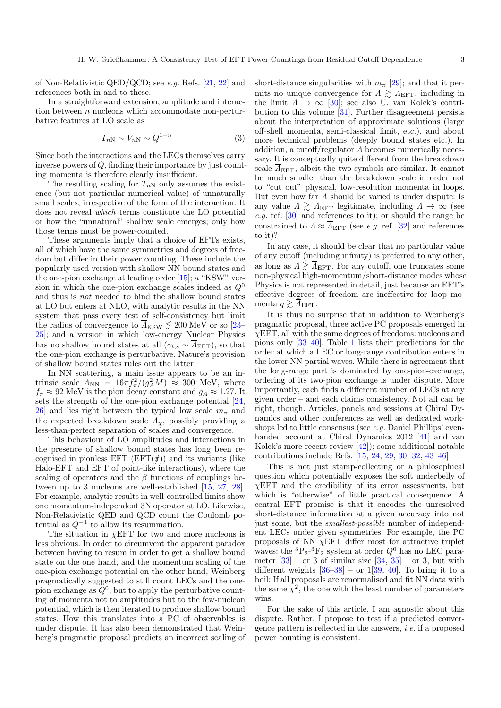of Non-Relativistic QED/QCD; see e.g. Refs. [\[21,](#page-13-16) [22\]](#page-13-17) and references both in and to these.

In a straightforward extension, amplitude and interaction between  $n$  nucleons which accommodate non-perturbative features at LO scale as

<span id="page-2-0"></span>
$$
T_{nN} \sim V_{nN} \sim Q^{1-n} \quad . \tag{3}
$$

Since both the interactions and the LECs themselves carry inverse powers of Q, finding their importance by just counting momenta is therefore clearly insufficient.

The resulting scaling for  $T_{nN}$  only assumes the existence (but not particular numerical value) of unnaturally small scales, irrespective of the form of the interaction. It does not reveal which terms constitute the LO potential or how the "unnatural" shallow scale emerges; only how those terms must be power-counted.

These arguments imply that a choice of EFTs exists, all of which have the same symmetries and degrees of freedom but differ in their power counting. These include the popularly used version with shallow NN bound states and the one-pion exchange at leading order [\[15\]](#page-13-13); a "KSW" version in which the one-pion exchange scales indeed as  $Q^0$ and thus is not needed to bind the shallow bound states at LO but enters at NLO, with analytic results in the NN system that pass every test of self-consistency but limit the radius of convergence to  $\overline{\Lambda}_{\rm KSW} \lesssim 200$  MeV or so [\[23–](#page-13-18) [25\]](#page-13-19); and a version in which low-energy Nuclear Physics has no shallow bound states at all  $(\gamma_{t,s} \sim \overline{\Lambda}_{\text{EFT}})$ , so that the one-pion exchange is perturbative. Nature's provision of shallow bound states rules out the latter.

In NN scattering, a main issue appears to be an intrinsic scale  $\Lambda_{\text{NN}} = 16\pi f_{\pi}^2/(g_A^2 M) \approx 300 \text{ MeV}$ , where  $f_{\pi} \approx 92$  MeV is the pion decay constant and  $g_A \approx 1.27$ . It sets the strength of the one-pion exchange potential [\[24,](#page-13-20) [26\]](#page-13-21) and lies right between the typical low scale  $m_{\pi}$  and the expected breakdown scale  $\overline{A}_x$ , possibly providing a less-than-perfect separation of scales and convergence.

This behaviour of LO amplitudes and interactions in the presence of shallow bound states has long been recognised in pionless EFT  $(EFT(\#))$  and its variants (like Halo-EFT and EFT of point-like interactions), where the scaling of operators and the  $\beta$  functions of couplings between up to 3 nucleons are well-established [\[15,](#page-13-13) [27,](#page-13-22) [28\]](#page-13-23). For example, analytic results in well-controlled limits show one momentum-independent 3N operator at LO. Likewise, Non-Relativistic QED and QCD count the Coulomb potential as  $Q^{-1}$  to allow its resummation.

The situation in  $\chi$ EFT for two and more nucleons is less obvious. In order to circumvent the apparent paradox between having to resum in order to get a shallow bound state on the one hand, and the momentum scaling of the one-pion exchange potential on the other hand, Weinberg pragmatically suggested to still count LECs and the onepion exchange as  $Q^0$ , but to apply the perturbative counting of momenta not to amplitudes but to the few-nucleon potential, which is then iterated to produce shallow bound states. How this translates into a PC of observables is under dispute. It has also been demonstrated that Weinberg's pragmatic proposal predicts an incorrect scaling of short-distance singularities with  $m_{\pi}$  [\[29\]](#page-13-24); and that it permits no unique convergence for  $\Lambda \gtrsim \overline{\Lambda}_{\rm EFT}$ , including in the limit  $\Lambda \to \infty$  [\[30\]](#page-13-25); see also U. van Kolck's contribution to this volume [\[31\]](#page-13-26). Further disagreement persists about the interpretation of approximate solutions (large off-shell momenta, semi-classical limit, etc.), and about more technical problems (deeply bound states etc.). In addition, a cutoff/regulator  $\Lambda$  becomes numerically necessary. It is conceptually quite different from the breakdown scale  $\Lambda_{\text{EFT}}$ , albeit the two symbols are similar. It cannot be much smaller than the breakdown scale in order not to "cut out" physical, low-resolution momenta in loops. But even how far  $\Lambda$  should be varied is under dispute: Is any value  $\Lambda \gtrsim \overline{\Lambda}_{\text{EFT}}$  legitimate, including  $\Lambda \to \infty$  (see e.g. ref. [\[30\]](#page-13-25) and references to it); or should the range be constrained to  $\Lambda \approx \overline{\Lambda}_{\text{EFT}}$  (see *e.g.* ref. [\[32\]](#page-13-27) and references to it)?

In any case, it should be clear that no particular value of any cutoff (including infinity) is preferred to any other, as long as  $\Lambda \gtrsim \overline{\Lambda}_{\rm EFT}$ . For any cutoff, one truncates some non-physical high-momentum/short-distance modes whose Physics is not represented in detail, just because an EFT's effective degrees of freedom are ineffective for loop momenta  $q \gtrsim \Lambda_{\text{EFT}}$ .

It is thus no surprise that in addition to Weinberg's pragmatic proposal, three active PC proposals emerged in  $\chi$ EFT, all with the same degrees of freedoms: nucleons and pions only [\[33–](#page-13-28)[40\]](#page-13-29). Table [1](#page-3-1) lists their predictions for the order at which a LEC or long-range contribution enters in the lower NN partial waves. While there is agreement that the long-range part is dominated by one-pion-exchange, ordering of its two-pion exchange is under dispute. More importantly, each finds a different number of LECs at any given order – and each claims consistency. Not all can be right, though. Articles, panels and sessions at Chiral Dynamics and other conferences as well as dedicated workshops led to little consensus (see e.g. Daniel Phillips' evenhanded account at Chiral Dynamics 2012 [\[41\]](#page-13-30) and van Kolck's more recent review [\[42\]](#page-14-0)); some additional notable contributions include Refs. [\[15,](#page-13-13) [24,](#page-13-20) [29,](#page-13-24) [30,](#page-13-25) [32,](#page-13-27) [43–](#page-14-1)[46\]](#page-14-2).

This is not just stamp-collecting or a philosophical question which potentially exposes the soft underbelly of  $\chi$ EFT and the credibility of its error assessments, but which is "otherwise" of little practical consequence. A central EFT promise is that it encodes the unresolved short-distance information at a given accuracy into not just some, but the smallest-possible number of independent LECs under given symmetries. For example, the PC proposals of NN  $\chi$ EFT differ most for attractive triplet waves: the  ${}^{3}P_{2}$ - ${}^{3}F_{2}$  system at order  $Q^{0}$  has no LEC parameter  $[33]$  – or 3 of similar size  $[34, 35]$  $[34, 35]$  $[34, 35]$  – or 3, but with different weights  $[36-38]$  $[36-38]$  – or  $1[39, 40]$  $1[39, 40]$  $1[39, 40]$  $1[39, 40]$ . To bring it to a boil: If all proposals are renormalised and fit NN data with the same  $\chi^2$ , the one with the least number of parameters wins.

For the sake of this article, I am agnostic about this dispute. Rather, I propose to test if a predicted convergence pattern is reflected in the answers, i.e. if a proposed power counting is consistent.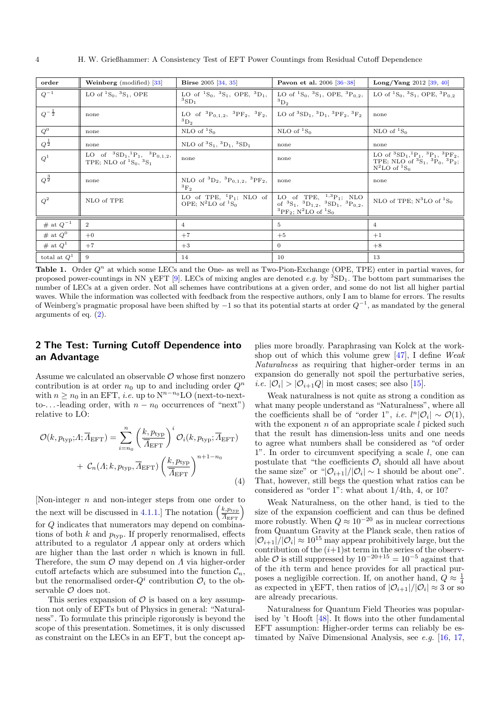| order              | <b>Weinberg</b> (modified) $\left[33\right]$                                                            | <b>Birse</b> 2005 [34, 35]                                               | Pavon et al. 2006 [36-38]                                                                                                                                                                                                                                                                                        | <b>Long/Yang</b> 2012 [39, 40]                                                                                                                                  |
|--------------------|---------------------------------------------------------------------------------------------------------|--------------------------------------------------------------------------|------------------------------------------------------------------------------------------------------------------------------------------------------------------------------------------------------------------------------------------------------------------------------------------------------------------|-----------------------------------------------------------------------------------------------------------------------------------------------------------------|
| $Q^{-1}$           | LO of ${}^{1}S_{0}$ , ${}^{3}S_{1}$ , OPE                                                               | LO of ${}^{1}S_{0}$ , ${}^{3}S_{1}$ , OPE, ${}^{3}D_{1}$ ,<br>${}^3SD_1$ | LO of ${}^{1}S_{0}$ , ${}^{3}S_{1}$ , OPE, ${}^{3}P_{0,2}$ ,<br>${}^3D_2$                                                                                                                                                                                                                                        | LO of ${}^{1}S_{0}$ , ${}^{3}S_{1}$ , OPE, ${}^{3}P_{0.2}$                                                                                                      |
| $Q^{-\frac{1}{2}}$ | none                                                                                                    | LO of ${}^{3}P_{0,1,2}$ , ${}^{3}PF_{2}$ , ${}^{3}F_{2}$ ,<br>$\rm^3D_2$ | LO of ${}^{3}SD_1$ , ${}^{3}D_1$ , ${}^{3}PF_2$ , ${}^{3}F_2$                                                                                                                                                                                                                                                    | none                                                                                                                                                            |
| $Q^0$              | none                                                                                                    | NLO of ${}^{1}S_{0}$                                                     | NLO of ${}^{1}S_0$                                                                                                                                                                                                                                                                                               | NLO of ${}^{1}S_{0}$                                                                                                                                            |
| $Q^{\frac{1}{2}}$  | none                                                                                                    | NLO of ${}^{3}S_{1}$ , ${}^{3}D_{1}$ , ${}^{3}SD_{1}$                    | none                                                                                                                                                                                                                                                                                                             | none                                                                                                                                                            |
| $Q^1$              | LO of ${}^{3}SD_{1}$ , ${}^{1}P_{1}$ , ${}^{3}P_{0,1,2}$ ,<br>TPE; NLO of ${}^{1}S_{0}$ , ${}^{3}S_{1}$ | none                                                                     | none                                                                                                                                                                                                                                                                                                             | LO of ${}^{3}SD_{1}$ , ${}^{1}P_{1}$ , ${}^{3}P_{1}$ , ${}^{3}PF_{2}$ ,<br>TPE, NLO of ${}^{3}S_{1}$ , ${}^{3}P_{0}$ , ${}^{3}P_{2}$ ;<br>$N^2$ LO of ${}^1S_0$ |
| $Q^{\frac{3}{2}}$  | none                                                                                                    | NLO of ${}^{3}D_{2}$ , ${}^{3}P_{0,1,2}$ , ${}^{3}PF_{2}$ ,<br>${}^3F_2$ | none                                                                                                                                                                                                                                                                                                             | none                                                                                                                                                            |
| $Q^2$              | NLO of TPE                                                                                              | LO of TPE, ${}^{1}P_{1}$ ; NLO of<br>OPE; $N^2LO$ of ${}^1S_0$           | $\label{eq:LO} \begin{array}{c} {\rm LO} \quad {\rm of} \quad {\rm TPE}, \quad ^{1,3}{\rm P}_1; \quad {\rm NLO} \\ {\rm of} \quad ^3{\rm S}_1, \quad ^3{\rm D}_{1,2}, \quad ^3{\rm SD}_1, \quad ^3{\rm P}_{0,2}, \end{array}$<br><sup>3</sup> PF <sub>2</sub> ; N <sup>2</sup> LO of <sup>1</sup> S <sub>0</sub> | NLO of TPE; $N^3$ LO of ${}^1S_0$                                                                                                                               |
| $\#$ at $Q^{-1}$   | 2                                                                                                       | $\overline{4}$                                                           | 5                                                                                                                                                                                                                                                                                                                | $\overline{4}$                                                                                                                                                  |
| # at $Q^0$         | $+0$                                                                                                    | $+7$                                                                     | $+5$                                                                                                                                                                                                                                                                                                             | $+1$                                                                                                                                                            |
| # at $Q^1$         | $+7$                                                                                                    | $+3$                                                                     | $\Omega$                                                                                                                                                                                                                                                                                                         | $+8$                                                                                                                                                            |
| total at $Q^1$     | -9                                                                                                      | 14                                                                       | 10                                                                                                                                                                                                                                                                                                               | 13                                                                                                                                                              |

<span id="page-3-1"></span>Table 1. Order  $Q^n$  at which some LECs and the One- as well as Two-Pion-Exchange (OPE, TPE) enter in partial waves, for proposed power-countings in NN  $\chi$ EFT [\[9\]](#page-13-7). LECs of mixing angles are denoted e.g. by <sup>3</sup>SD<sub>1</sub>. The bottom part summarises the number of LECs at a given order. Not all schemes have contributions at a given order, and some do not list all higher partial waves. While the information was collected with feedback from the respective authors, only I am to blame for errors. The results of Weinberg's pragmatic proposal have been shifted by  $-1$  so that its potential starts at order  $Q^{-1}$ , as mandated by the general arguments of eq. [\(2\)](#page-1-0).

# <span id="page-3-0"></span>2 The Test: Turning Cutoff Dependence into an Advantage

Assume we calculated an observable  $\mathcal O$  whose first nonzero contribution is at order  $n_0$  up to and including order  $Q^n$ with  $n \geq n_0$  in an EFT, *i.e.* up to  $N^{n-n_0}$ LO (next-to-nextto-... -leading order, with  $n - n_0$  occurrences of "next") relative to LO:

<span id="page-3-2"></span>
$$
\mathcal{O}(k, p_{\text{typ}}; A; \overline{A}_{\text{EFT}}) = \sum_{i=n_0}^{n} \left(\frac{k, p_{\text{typ}}}{\overline{A}_{\text{EFT}}}\right)^i \mathcal{O}_i(k, p_{\text{typ}}; \overline{A}_{\text{EFT}}) + \mathcal{C}_n(A; k, p_{\text{typ}}, \overline{A}_{\text{EFT}}) \left(\frac{k, p_{\text{typ}}}{\overline{A}_{\text{EFT}}}\right)^{n+1-n_0}
$$
\n(4)

[Non-integer n and non-integer steps from one order to the next will be discussed in [4.1.1.](#page-7-0)] The notation  $\left(\frac{k, p_{\text{typ}}}{\overline{A}_{\text{EFT}}}\right)$ for Q indicates that numerators may depend on combinations of both  $k$  and  $p_{\text{typ}}$ . If properly renormalised, effects attributed to a regulator  $\Lambda$  appear only at orders which are higher than the last order  $n$  which is known in full. Therefore, the sum  $\mathcal O$  may depend on  $\Lambda$  via higher-order cutoff artefacts which are subsumed into the function  $\mathcal{C}_n$ , but the renormalised order- $Q^i$  contribution  $\mathcal{O}_i$  to the observable  $\mathcal O$  does not.

This series expansion of  $\mathcal O$  is based on a key assumption not only of EFTs but of Physics in general: "Naturalness". To formulate this principle rigorously is beyond the scope of this presentation. Sometimes, it is only discussed as constraint on the LECs in an EFT, but the concept applies more broadly. Paraphrasing van Kolck at the workshop out of which this volume grew  $[47]$ , I define Weak Naturalness as requiring that higher-order terms in an expansion do generally not spoil the perturbative series, *i.e.*  $|\mathcal{O}_i| > |\mathcal{O}_{i+1}Q|$  in most cases; see also [\[15\]](#page-13-13).

Weak naturalness is not quite as strong a condition as what many people understand as "Naturalness", where all the coefficients shall be of "order 1", *i.e.*  $l^{n}|\mathcal{O}_{i}| \sim \mathcal{O}(1)$ , with the exponent  $n$  of an appropriate scale  $l$  picked such that the result has dimension-less units and one needs to agree what numbers shall be considered as "of order 1". In order to circumvent specifying a scale l, one can postulate that "the coefficients  $\mathcal{O}_i$  should all have about the same size" or " $|\mathcal{O}_{i+1}|/|\mathcal{O}_i| \sim 1$  should be about one". That, however, still begs the question what ratios can be considered as "order 1": what about 1/4th, 4, or 10?

Weak Naturalness, on the other hand, is tied to the size of the expansion coefficient and can thus be defined more robustly. When  $Q \approx 10^{-20}$  as in nuclear corrections from Quantum Gravity at the Planck scale, then ratios of  $|\mathcal{O}_{i+1}|/|\mathcal{O}_i| \approx 10^{15}$  may appear prohibitively large, but the contribution of the  $(i+1)$ st term in the series of the observable  $\mathcal O$  is still suppressed by  $10^{-20+15} = 10^{-5}$  against that of the ith term and hence provides for all practical purposes a negligible correction. If, on another hand,  $Q \approx \frac{1}{4}$ as expected in  $\chi$ EFT, then ratios of  $|\mathcal{O}_{i+1}|/|\mathcal{O}_i| \approx 3$  or so are already precarious.

Naturalness for Quantum Field Theories was popularised by 't Hooft [\[48\]](#page-14-4). It flows into the other fundamental EFT assumption: Higher-order terms can reliably be estimated by Naïve Dimensional Analysis, see  $e.g.$  [\[16,](#page-13-14) [17,](#page-13-36)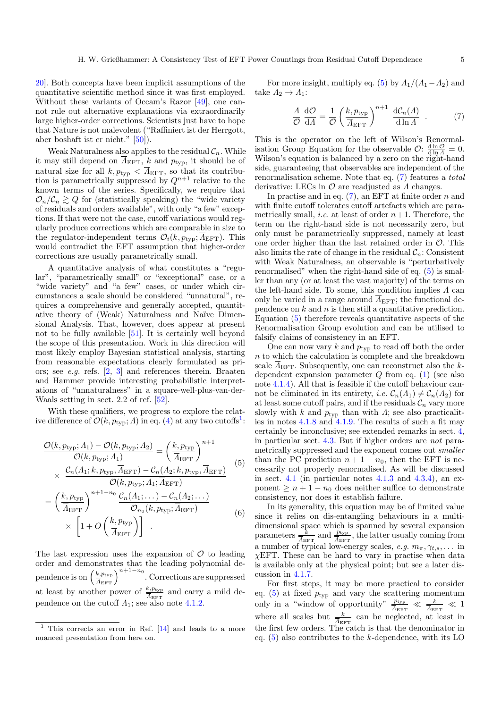[20\]](#page-13-15). Both concepts have been implicit assumptions of the quantitative scientific method since it was first employed. Without these variants of Occam's Razor [\[49\]](#page-14-5), one cannot rule out alternative explanations via extraordinarily large higher-order corrections. Scientists just have to hope that Nature is not malevolent ("Raffiniert ist der Herrgott, aber boshaft ist er nicht." [\[50\]](#page-14-6)).

Weak Naturalness also applies to the residual  $C_n$ . While it may still depend on  $\overline{A}_{\text{EFT}}$ , k and  $p_{\text{typ}}$ , it should be of natural size for all  $k, p_{\text{typ}} < \overline{A}_{\text{EFT}}$ , so that its contribution is parametrically suppressed by  $Q^{n+1}$  relative to the known terms of the series. Specifically, we require that  $\mathcal{O}_n/\mathcal{C}_n \gtrsim Q$  for (statistically speaking) the "wide variety" of residuals and orders available", with only "a few" exceptions. If that were not the case, cutoff variations would regularly produce corrections which are comparable in size to the regulator-independent terms  $\mathcal{O}_i(k, p_{\text{tvo}}; \overline{A}_{\text{EFT}})$ . This would contradict the EFT assumption that higher-order corrections are usually parametrically small.

A quantitative analysis of what constitutes a "regular", "parametrically small" or "exceptional" case, or a "wide variety" and "a few" cases, or under which circumstances a scale should be considered "unnatural", requires a comprehensive and generally accepted, quantitative theory of (Weak) Naturalness and Naïve Dimensional Analysis. That, however, does appear at present not to be fully available [\[51\]](#page-14-7). It is certainly well beyond the scope of this presentation. Work in this direction will most likely employ Bayesian statistical analysis, starting from reasonable expectations clearly formulated as priors; see e.g. refs. [\[2,](#page-13-37) [3\]](#page-13-1) and references therein. Braaten and Hammer provide interesting probabilistic interpretations of "unnaturalness" in a square-well-plus-van-der-Waals setting in sect. 2.2 of ref. [\[52\]](#page-14-8).

With these qualifiers, we progress to explore the relative difference of  $\mathcal{O}(k, p_{\text{typ}}; \Lambda)$  in eq. [\(4\)](#page-3-2) at any two cutoffs<sup>[1](#page-4-0)</sup>:

$$
\frac{\mathcal{O}(k, p_{\text{typ}}; A_1) - \mathcal{O}(k, p_{\text{typ}}; A_2)}{\mathcal{O}(k, p_{\text{typ}}; A_1)} = \left(\frac{k, p_{\text{typ}}}{\overline{A}_{\text{EFT}}}\right)^{n+1}
$$
  
 
$$
\mathcal{C}_n(A_1; k, p_{\text{typ}}, \overline{A}_{\text{EFT}}) - \mathcal{C}_n(A_2; k, p_{\text{typ}}, \overline{A}_{\text{EFT}})
$$
 (5)

$$
\times \frac{\frac{C_n(1,1), n, p_{\text{typ}}, 1_{\text{EF}}1) - C_n(1,2), n, p_{\text{typ}}, 1_{\text{EF}}1}{\mathcal{O}(k, p_{\text{typ}}, A_1; \overline{A}_{\text{EFT}})}
$$
\n
$$
= \left(\frac{k, p_{\text{typ}}}{\overline{A}_{\text{EFT}}}\right)^{n+1-n_0} \frac{\mathcal{C}_n(A_1; \dots) - \mathcal{C}_n(A_2; \dots)}{\mathcal{O}_{n_0}(k, p_{\text{typ}}; \overline{A}_{\text{EFT}})}
$$
\n
$$
\times \left[1 + O\left(\frac{k, p_{\text{typ}}}{\overline{A}_{\text{EFT}}}\right)\right].
$$
\n(6)

The last expression uses the expansion of  $\mathcal O$  to leading order and demonstrates that the leading polynomial dependence is on  $\left(\frac{k, p_{\text{typ}}}{\overline{A}_{\text{EFT}}}\right)^{n+1-n_0}$ . Corrections are suppressed at least by another power of  $\frac{k, p_{\text{typ}}}{\overline{A}_{\text{EFT}}}$  and carry a mild dependence on the cutoff  $\Lambda_1$ ; see also note [4.1.2.](#page-7-1)

For more insight, multiply eq. [\(5\)](#page-4-1) by  $\Lambda_1/(\Lambda_1-\Lambda_2)$  and take  $\Lambda_2 \to \Lambda_1$ :

<span id="page-4-2"></span>
$$
\frac{\Lambda}{\mathcal{O}} \frac{\mathrm{d}\mathcal{O}}{\mathrm{d}\Lambda} = \frac{1}{\mathcal{O}} \left( \frac{k, p_{\text{typ}}}{\overline{\Lambda}_{\text{EFT}}} \right)^{n+1} \frac{\mathrm{d}\mathcal{C}_n(\Lambda)}{\mathrm{d}\ln\Lambda} \quad . \tag{7}
$$

This is the operator on the left of Wilson's Renormalisation Group Equation for the observable  $\mathcal{O}$ :  $\frac{d \ln \mathcal{O}}{d \ln A} = 0$ . Wilson's equation is balanced by a zero on the right-hand side, guaranteeing that observables are independent of the renormalisation scheme. Note that eq. [\(7\)](#page-4-2) features a total derivative: LECs in  $\mathcal O$  are readjusted as  $\Lambda$  changes.

In practise and in eq.  $(7)$ , an EFT at finite order n and with finite cutoff tolerates cutoff artefacts which are parametrically small, *i.e.* at least of order  $n+1$ . Therefore, the term on the right-hand side is not necessarily zero, but only must be parametrically suppressed, namely at least one order higher than the last retained order in  $\mathcal{O}$ . This also limits the rate of change in the residual  $\mathcal{C}_n$ : Consistent with Weak Naturalness, an observable is "perturbatively renormalised" when the right-hand side of eq. [\(5\)](#page-4-1) is smaller than any (or at least the vast majority) of the terms on the left-hand side. To some, this condition implies  $\Lambda$  can only be varied in a range around  $\overline{A}_{\text{EFT}}$ ; the functional dependence on  $k$  and  $n$  is then still a quantitative prediction. Equation [\(5\)](#page-4-1) therefore reveals quantitative aspects of the Renormalisation Group evolution and can be utilised to falsify claims of consistency in an EFT.

One can now vary  $k$  and  $p_{\text{typ}}$  to read off both the order  $n$  to which the calculation is complete and the breakdown scale  $\overline{A}_{\text{EFT}}$ . Subsequently, one can reconstruct also the kdependent expansion parameter  $Q$  from eq. [\(1\)](#page-1-1) (see also note [4.1.4\)](#page-8-0). All that is feasible if the cutoff behaviour cannot be eliminated in its entirety, *i.e.*  $\mathcal{C}_n(\Lambda_1) \neq \mathcal{C}_n(\Lambda_2)$  for at least some cutoff pairs, and if the residuals  $\mathcal{C}_n$  vary more slowly with k and  $p_{\text{typ}}$  than with  $\Lambda$ ; see also practicalities in notes [4.1.8](#page-8-1) and [4.1.9.](#page-8-2) The results of such a fit may certainly be inconclusive; see extended remarks in sect. [4,](#page-7-2) in particular sect. [4.3.](#page-11-0) But if higher orders are not parametrically suppressed and the exponent comes out smaller than the PC prediction  $n + 1 - n_0$ , then the EFT is necessarily not properly renormalised. As will be discussed in sect. [4.1](#page-7-3) (in particular notes  $4.1.3$  and  $4.3.4$ ), an exponent  $\geq n+1-n_0$  does neither suffice to demonstrate consistency, nor does it establish failure.

<span id="page-4-3"></span><span id="page-4-1"></span>In its generality, this equation may be of limited value since it relies on dis-entangling behaviours in a multidimensional space which is spanned by several expansion parameters  $\frac{k}{A_{\text{EFT}}}$  and  $\frac{p_{\text{typ}}}{A_{\text{EFT}}}$ , the latter usually coming from a number of typical low-energy scales, e.g.  $m_{\pi}, \gamma_{t,s}, \ldots$  in  $\chi$ EFT. These can be hard to vary in practise when data is available only at the physical point; but see a later discussion in [4.1.7.](#page-8-3)

For first steps, it may be more practical to consider eq.  $(5)$  at fixed  $p_{\text{typ}}$  and vary the scattering momentum only in a "window of opportunity"  $\frac{p_{\text{typ}}}{\overline{A}_{\text{EFT}}} \ll \frac{k}{\overline{A}_{\text{EFT}}} \ll 1$ where all scales but  $\frac{k}{A_{\text{EFT}}}$  can be neglected, at least in the first few orders. The catch is that the denominator in eq.  $(5)$  also contributes to the k-dependence, with its LO

<span id="page-4-0"></span><sup>1</sup> This corrects an error in Ref. [\[14\]](#page-13-12) and leads to a more nuanced presentation from here on.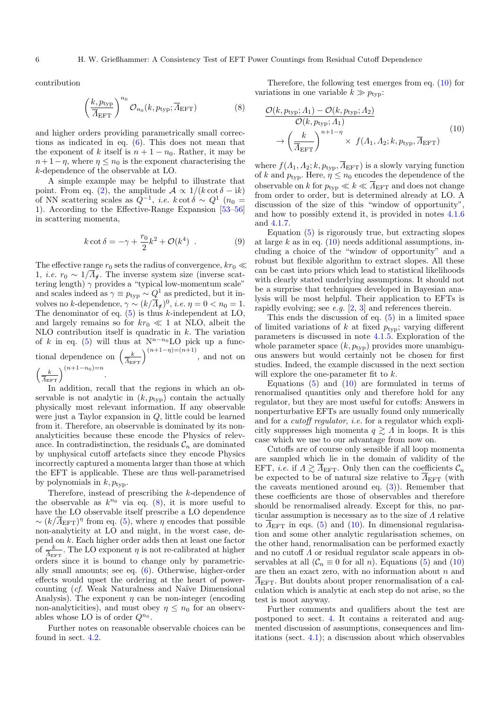contribution

<span id="page-5-0"></span>
$$
\left(\frac{k, p_{\text{typ}}}{\overline{A}_{\text{EFT}}}\right)^{n_0} \mathcal{O}_{n_0}(k, p_{\text{typ}}; \overline{A}_{\text{EFT}})
$$
 (8)

and higher orders providing parametrically small corrections as indicated in eq. [\(6\)](#page-4-3). This does not mean that the exponent of k itself is  $n + 1 - n_0$ . Rather, it may be  $n+1-\eta$ , where  $\eta \leq n_0$  is the exponent characterising the k-dependence of the observable at LO.

A simple example may be helpful to illustrate that point. From eq. [\(2\)](#page-1-0), the amplitude  $A \propto 1/(k \cot \delta - i k)$ of NN scattering scales as  $Q^{-1}$ , *i.e.*  $k \cot \delta \sim Q^{1}$  ( $n_0 =$ 1). According to the Effective-Range Expansion [\[53–](#page-14-9)[56\]](#page-14-10) in scattering momenta,

$$
k \cot \delta = -\gamma + \frac{r_0}{2}k^2 + \mathcal{O}(k^4) . \qquad (9)
$$

The effective range  $r_0$  sets the radius of convergence,  $kr_0 \ll$ 1, *i.e.*  $r_0 \sim 1/\overline{\Lambda}_t$ . The inverse system size (inverse scattering length)  $\gamma$  provides a "typical low-momentum scale" and scales indeed as  $\gamma \equiv p_{\rm typ} \sim Q^1$  as predicted, but it involves no k-dependence,  $\gamma \sim (k/\overline{\Lambda}_{\sharp})^0$ , *i.e.*  $\eta = 0 < n_0 = 1$ . The denominator of eq.  $(5)$  is thus k-independent at LO, and largely remains so for  $kr_0 \ll 1$  at NLO, albeit the NLO contribution itself is quadratic in  $k$ . The variation of k in eq. [\(5\)](#page-4-1) will thus at  $N^{n-n_0}$ LO pick up a functional dependence on  $\left(\frac{k}{A_{\text{EFT}}}\right)^{(n+1-\eta)=(n+1)}$ , and not on  $\left(\frac{k}{\overline{A}_{\text{EFT}}}\right)^{(n+1-n_0)=n}.$ 

In addition, recall that the regions in which an observable is not analytic in  $(k, p_{\text{typ}})$  contain the actually physically most relevant information. If any observable were just a Taylor expansion in Q, little could be learned from it. Therefore, an observable is dominated by its nonanalyticities because these encode the Physics of relevance. In contradistinction, the residuals  $\mathcal{C}_n$  are dominated by unphysical cutoff artefacts since they encode Physics incorrectly captured a momenta larger than those at which the EFT is applicable. These are thus well-parametrised by polynomials in  $k, p_{\text{typ}}$ .

Therefore, instead of prescribing the k-dependence of the observable as  $k^{n_0}$  via eq. [\(8\)](#page-5-0), it is more useful to have the LO observable itself prescribe a LO dependence  $\sim (k/\overline{\Lambda}_{\text{EFT}})^{\eta}$  from eq. [\(5\)](#page-4-1), where  $\eta$  encodes that possible non-analyticity at LO and might, in the worst case, depend on k. Each higher order adds then at least one factor of  $\frac{k}{\Lambda_{\text{EFT}}}$ . The LO exponent  $\eta$  is not re-calibrated at higher orders since it is bound to change only by parametrically small amounts; see eq. [\(6\)](#page-4-3). Otherwise, higher-order effects would upset the ordering at the heart of powercounting (cf. Weak Naturalness and Na¨ıve Dimensional Analysis). The exponent  $\eta$  can be non-integer (encoding non-analyticities), and must obey  $\eta \leq n_0$  for an observables whose LO is of order  $Q^{n_0}$ .

Further notes on reasonable observable choices can be found in sect. [4.2.](#page-9-0)

Therefore, the following test emerges from eq. [\(10\)](#page-5-1) for variations in one variable  $k \gg p_{\text{typ}}$ :

<span id="page-5-1"></span>
$$
\frac{\mathcal{O}(k, p_{\text{typ}}; \Lambda_1) - \mathcal{O}(k, p_{\text{typ}}; \Lambda_2)}{\mathcal{O}(k, p_{\text{typ}}; \Lambda_1)} \rightarrow \left(\frac{k}{\overline{\Lambda}_{\text{EFT}}}\right)^{n+1-\eta} \times f(\Lambda_1, \Lambda_2; k, p_{\text{typ}}, \overline{\Lambda}_{\text{EFT}})
$$
\n(10)

where  $f(A_1, A_2; k, p_{\text{typ}}, \overline{A}_{\text{EFT}})$  is a slowly varying function of k and  $p_{\text{typ}}$ . Here,  $\eta \leq n_0$  encodes the dependence of the observable on k for  $p_{\text{typ}} \ll k \ll \overline{\Lambda}_{\text{EFT}}$  and does not change from order to order, but is determined already at LO. A discussion of the size of this "window of opportunity", and how to possibly extend it, is provided in notes [4.1.6](#page-8-4) and [4.1.7.](#page-8-3)

Equation [\(5\)](#page-4-1) is rigorously true, but extracting slopes at large  $k$  as in eq.  $(10)$  needs additional assumptions, including a choice of the "window of opportunity" and a robust but flexible algorithm to extract slopes. All these can be cast into priors which lead to statistical likelihoods with clearly stated underlying assumptions. It should not be a surprise that techniques developed in Bayesian analysis will be most helpful. Their application to EFTs is rapidly evolving; see e.g.  $[2, 3]$  $[2, 3]$  $[2, 3]$  and references therein.

This ends the discussion of eq. [\(5\)](#page-4-1) in a limited space of limited variations of k at fixed  $p_{\text{typ}}$ ; varying different parameters is discussed in note [4.1.5.](#page-8-5) Exploration of the whole parameter space  $(k, p_{\text{typ}})$  provides more unambiguous answers but would certainly not be chosen for first studies. Indeed, the example discussed in the next section will explore the one-parameter fit to  $k$ .

Equations  $(5)$  and  $(10)$  are formulated in terms of renormalised quantities only and therefore hold for any regulator, but they are most useful for cutoffs: Answers in nonperturbative EFTs are usually found only numerically and for a cutoff regulator, i.e. for a regulator which explicitly suppresses high momenta  $q \geq \Lambda$  in loops. It is this case which we use to our advantage from now on.

Cutoffs are of course only sensible if all loop momenta are sampled which lie in the domain of validity of the EFT, *i.e.* if  $\Lambda \gtrsim \overline{\Lambda}_{\text{EFT}}$ . Only then can the coefficients  $\mathcal{C}_n$ be expected to be of natural size relative to  $\overline{\Lambda}_{\text{EFT}}$  (with the caveats mentioned around eq.  $(3)$ ). Remember that these coefficients are those of observables and therefore should be renormalised already. Except for this, no particular assumption is necessary as to the size of  $\Lambda$  relative to  $A_{\text{EFT}}$  in eqs. [\(5\)](#page-4-1) and [\(10\)](#page-5-1). In dimensional regularisation and some other analytic regularisation schemes, on the other hand, renormalisation can be performed exactly and no cutoff Λ or residual regulator scale appears in observables at all  $(\mathcal{C}_n \equiv 0 \text{ for all } n)$ . Equations [\(5\)](#page-4-1) and [\(10\)](#page-5-1) are then an exact zero, with no information about  $n$  and  $\Lambda_{\rm EFT}$ . But doubts about proper renormalisation of a calculation which is analytic at each step do not arise, so the test is moot anyway.

Further comments and qualifiers about the test are postponed to sect. [4.](#page-7-2) It contains a reiterated and augmented discussion of assumptions, consequences and limitations (sect. [4.1\)](#page-7-3); a discussion about which observables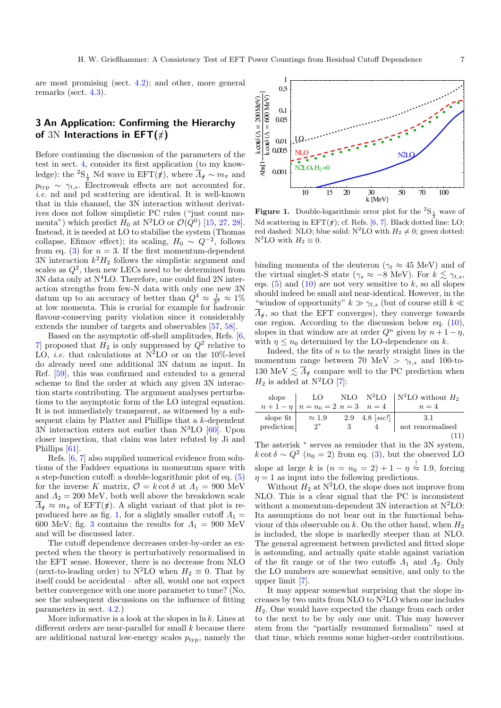are most promising (sect. [4.2\)](#page-9-0); and other, more general remarks (sect. [4.3\)](#page-11-0).

# <span id="page-6-0"></span>3 An Application: Confirming the Hierarchy of 3N Interactions in  $EFT(\#)$

Before continuing the discussion of the parameters of the test in sect. [4,](#page-7-2) consider its first application (to my knowledge): the  ${}^{2}S_{\frac{1}{2}}$  Nd wave in EFT( $\#$ ), where  $\overline{A}_{\#} \sim m_{\pi}$  and  $p_{\text{typ}} \sim \gamma_{t,s}$ . Electroweak effects are not accounted for, i.e. nd and pd scattering are identical. It is well-known that in this channel, the 3N interaction without derivatives does not follow simplistic PC rules ("just count momenta") which predict  $H_0$  at N<sup>2</sup>LO or  $\mathcal{O}(Q^0)$  [\[15,](#page-13-13) [27,](#page-13-22) [28\]](#page-13-23). Instead, it is needed at LO to stabilise the system (Thomas collapse, Efimov effect); its scaling,  $H_0 \sim Q^{-2}$ , follows from eq. [\(3\)](#page-2-0) for  $n = 3$ . If the first momentum-dependent 3N interaction  $k^2H_2$  follows the simplistic argument and scales as  $Q^2$ , then new LECs need to be determined from  $3N$  data only at  $N<sup>4</sup>LO$ . Therefore, one could find  $2N$  interaction strengths from few-N data with only one new 3N datum up to an accuracy of better than  $Q^4 \approx \frac{1}{3^4} \approx 1\%$ at low momenta. This is crucial for example for hadronic flavour-conserving parity violation since it considerably extends the number of targets and observables [\[57,](#page-14-11) [58\]](#page-14-12).

Based on the asymptotic off-shell amplitudes, Refs. [\[6,](#page-13-4) [7\]](#page-13-5) proposed that  $H_2$  is only suppressed by  $Q^2$  relative to LO, *i.e.* that calculations at  $N^2LO$  or on the 10%-level do already need one additional 3N datum as input. In Ref. [\[59\]](#page-14-13), this was confirmed and extended to a general scheme to find the order at which any given 3N interaction starts contributing. The argument analyses perturbations to the asymptotic form of the LO integral equation. It is not immediately transparent, as witnessed by a subsequent claim by Platter and Phillips that a k-dependent 3N interaction enters not earlier than  $N<sup>3</sup>LO$  [\[60\]](#page-14-14). Upon closer inspection, that claim was later refuted by Ji and Phillips [\[61\]](#page-14-15).

Refs. [\[6,](#page-13-4) [7\]](#page-13-5) also supplied numerical evidence from solutions of the Faddeev equations in momentum space with a step-function cutoff: a double-logarithmic plot of eq. [\(5\)](#page-4-1) for the inverse K matrix,  $\mathcal{O} = k \cot \delta$  at  $\Lambda_1 = 900$  MeV and  $\Lambda_2 = 200$  MeV, both well above the breakdown scale  $\overline{\Lambda}_{\sharp} \approx m_{\pi}$  of EFT( $\sharp$ ). A slight variant of that plot is re-produced here as fig. [1,](#page-6-1) for a slightly smaller cutoff  $\Lambda_1 =$ 600 MeV; fig. [3](#page-9-1) contains the results for  $\Lambda_1 = 900$  MeV and will be discussed later.

The cutoff dependence decreases order-by-order as expected when the theory is perturbatively renormalised in the EFT sense. However, there is no decrease from NLO (next-to-leading order) to N<sup>2</sup>LO when  $H_2 \equiv 0$ . That by itself could be accidental – after all, would one not expect better convergence with one more parameter to tune? (No, see the subsequent discussions on the influence of fitting parameters in sect. [4.2.](#page-9-0))

More informative is a look at the slopes in  $\ln k$ . Lines at different orders are near-parallel for small  $\boldsymbol{k}$  because there are additional natural low-energy scales  $p_{\text{typ}}$ , namely the



<span id="page-6-1"></span>**Figure 1.** Double-logarithmic error plot for the  ${}^{2}S_{\frac{1}{2}}$  wave of Nd scattering in  $EFT(\#);$  cf. Refs. [\[6,](#page-13-4) [7\]](#page-13-5). Black dotted line: LO; red dashed: NLO; blue solid: N<sup>2</sup>LO with  $H_2 \neq 0$ ; green dotted:  $N^2LO$  with  $H_2 \equiv 0$ .

binding momenta of the deuteron ( $\gamma_t \approx 45$  MeV) and of the virtual singlet-S state ( $\gamma_s \approx -8$  MeV). For  $k \lesssim \gamma_{t,s}$ , eqs.  $(5)$  and  $(10)$  are not very sensitive to k, so all slopes should indeed be small and near-identical. However, in the "window of opportunity"  $k \gg \gamma_{t,s}$  (but of course still  $k \ll$  $\overline{\Lambda}_t$ , so that the EFT converges), they converge towards one region. According to the discussion below eq. [\(10\)](#page-5-1), slopes in that window are at order  $Q^n$  given by  $n + 1 - \eta$ , with  $\eta \leq n_0$  determined by the LO-dependence on k.

Indeed, the fits of  $n$  to the nearly straight lines in the momentum range between 70 MeV  $> \gamma_{t,s}$  and 100-to-130 MeV  $\lesssim \overline{\Lambda}_{\sharp}$  compare well to the PC prediction when  $H_2$  is added at N<sup>2</sup>LO [\[7\]](#page-13-5):

<span id="page-6-2"></span>

| slope             | LO 1                                    |                 | NLO $N^2LO$   $N^2LO$ without $H_2$ |
|-------------------|-----------------------------------------|-----------------|-------------------------------------|
|                   | $n+1-\eta \mid n=n_0=2 \ n=3 \quad n=4$ |                 | $n=4$                               |
| slope fit $\vert$ | $\approx 1.9$                           | 2.9 4.8 $sic$ ! | 3.1                                 |
| prediction        | $2^*$                                   |                 | not renormalised                    |
|                   |                                         |                 |                                     |

The asterisk  $*$  serves as reminder that in the 3N system,  $k \cot \delta \sim Q^2$  ( $n_0 = 2$ ) from eq. [\(3\)](#page-2-0), but the observed LO slope at large k is  $(n = n_0 = 2) + 1 - \eta \stackrel{!}{\approx} 1.9$ , forcing  $\eta = 1$  as input into the following predictions.

Without  $H_2$  at N<sup>2</sup>LO, the slope does not improve from NLO. This is a clear signal that the PC is inconsistent without a momentum-dependent 3N interaction at  $N^2LO$ : Its assumptions do not bear out in the functional behaviour of this observable on k. On the other hand, when  $H_2$ is included, the slope is markedly steeper than at NLO. The general agreement between predicted and fitted slope is astounding, and actually quite stable against variation of the fit range or of the two cutoffs  $\Lambda_1$  and  $\Lambda_2$ . Only the LO numbers are somewhat sensitive, and only to the upper limit [\[7\]](#page-13-5).

It may appear somewhat surprising that the slope increases by two units from NLO to  $N^2LO$  when one includes  $H<sub>2</sub>$ . One would have expected the change from each order to the next to be by only one unit. This may however stem from the "partially resummed formalism" used at that time, which resums some higher-order contributions.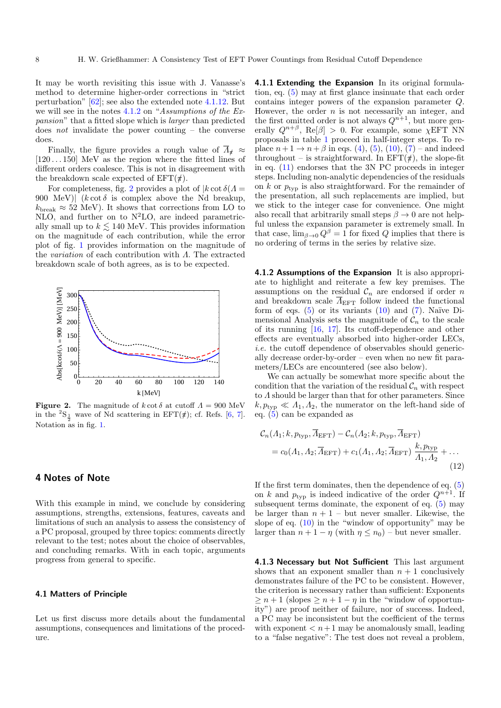It may be worth revisiting this issue with J. Vanasse's method to determine higher-order corrections in "strict perturbation" [\[62\]](#page-14-16); see also the extended note [4.1.12.](#page-9-2) But we will see in the notes [4.1.2](#page-7-1) on "Assumptions of the Expansion" that a fitted slope which is larger than predicted does *not* invalidate the power counting  $-$  the converse does.

Finally, the figure provides a rough value of  $\Lambda_t \approx$  $[120 \dots 150]~{\rm MeV}$  as the region where the fitted lines of different orders coalesce. This is not in disagreement with the breakdown scale expected of  $EFT(\#)$ .

For completeness, fig. [2](#page-7-5) provides a plot of  $k \cot \delta(\Lambda =$ 900 MeV)  $(k \cot \delta)$  is complex above the Nd breakup,  $k_{\text{break}} \approx 52$  MeV). It shows that corrections from LO to NLO, and further on to  $N^2LO$ , are indeed parametrically small up to  $k \lesssim 140$  MeV. This provides information on the magnitude of each contribution, while the error plot of fig. [1](#page-6-1) provides information on the magnitude of the variation of each contribution with Λ. The extracted breakdown scale of both agrees, as is to be expected.



<span id="page-7-5"></span>**Figure 2.** The magnitude of  $k \cot \delta$  at cutoff  $\Lambda = 900 \text{ MeV}$ in the  ${}^{2}S_{\frac{1}{2}}$  wave of Nd scattering in EFT( $\#$ ); cf. Refs. [\[6,](#page-13-4) [7\]](#page-13-5). Notation as in fig. [1.](#page-6-1)

## <span id="page-7-2"></span>4 Notes of Note

With this example in mind, we conclude by considering assumptions, strengths, extensions, features, caveats and limitations of such an analysis to assess the consistency of a PC proposal, grouped by three topics: comments directly relevant to the test; notes about the choice of observables, and concluding remarks. With in each topic, arguments progress from general to specific.

#### <span id="page-7-3"></span>4.1 Matters of Principle

Let us first discuss more details about the fundamental assumptions, consequences and limitations of the procedure.

<span id="page-7-0"></span>4.1.1 Extending the Expansion In its original formulation, eq. [\(5\)](#page-4-1) may at first glance insinuate that each order contains integer powers of the expansion parameter Q. However, the order  $n$  is not necessarily an integer, and the first omitted order is not always  $Q^{n+1}$ , but more generally  $Q^{n+\beta}$ , Re $[\beta] > 0$ . For example, some  $\chi$ EFT NN proposals in table [1](#page-3-1) proceed in half-integer steps. To replace  $n + 1 \to n + \beta$  in eqs. [\(4\)](#page-3-2), [\(5\)](#page-4-1), [\(10\)](#page-5-1), [\(7\)](#page-4-2) – and indeed throughout – is straightforward. In  $EFT(\#)$ , the slope-fit in eq. [\(11\)](#page-6-2) endorses that the 3N PC proceeds in integer steps. Including non-analytic dependencies of the residuals on k or  $p_{\text{typ}}$  is also straightforward. For the remainder of the presentation, all such replacements are implied, but we stick to the integer case for convenience. One might also recall that arbitrarily small steps  $\beta \to 0$  are not helpful unless the expansion parameter is extremely small. In that case,  $\lim_{\beta \to 0} Q^{\beta} = 1$  for fixed Q implies that there is no ordering of terms in the series by relative size.

<span id="page-7-1"></span>4.1.2 Assumptions of the Expansion It is also appropriate to highlight and reiterate a few key premises. The assumptions on the residual  $\mathcal{C}_n$  are endorsed if order n and breakdown scale  $\overline{A}_{\text{EFT}}$  follow indeed the functional form of eqs.  $(5)$  or its variants  $(10)$  and  $(7)$ . Naïve Dimensional Analysis sets the magnitude of  $\mathcal{C}_n$  to the scale of its running [\[16,](#page-13-14) [17\]](#page-13-36). Its cutoff-dependence and other effects are eventually absorbed into higher-order LECs, i.e. the cutoff dependence of observables should generically decrease order-by-order – even when no new fit parameters/LECs are encountered (see also below).

We can actually be somewhat more specific about the condition that the variation of the residual  $\mathcal{C}_n$  with respect to Λ should be larger than that for other parameters. Since  $k, p_{\text{typ}} \ll A_1, A_2$ , the numerator on the left-hand side of eq. [\(5\)](#page-4-1) can be expanded as

<span id="page-7-6"></span>
$$
C_n(A_1; k, p_{\text{typ}}, \overline{A}_{\text{EFT}}) - C_n(A_2; k, p_{\text{typ}}, \overline{A}_{\text{EFT}})
$$
  
=  $c_0(A_1, A_2; \overline{A}_{\text{EFT}}) + c_1(A_1, A_2; \overline{A}_{\text{EFT}}) \frac{k, p_{\text{typ}}}{A_1, A_2} + ...$  (12)

If the first term dominates, then the dependence of eq. [\(5\)](#page-4-1) on k and  $p_{\text{typ}}$  is indeed indicative of the order  $Q^{n+1}$ . If subsequent terms dominate, the exponent of eq.  $(5)$  may be larger than  $n + 1$  – but never smaller. Likewise, the slope of eq.  $(10)$  in the "window of opportunity" may be larger than  $n + 1 - \eta$  (with  $\eta \leq n_0$ ) – but never smaller.

<span id="page-7-4"></span>4.1.3 Necessary but Not Sufficient This last argument shows that an exponent smaller than  $n + 1$  conclusively demonstrates failure of the PC to be consistent. However, the criterion is necessary rather than sufficient: Exponents  $\geq n+1$  (slopes  $\geq n+1-\eta$  in the "window of opportunity") are proof neither of failure, nor of success. Indeed, a PC may be inconsistent but the coefficient of the terms with exponent  $\lt n+1$  may be anomalously small, leading to a "false negative": The test does not reveal a problem,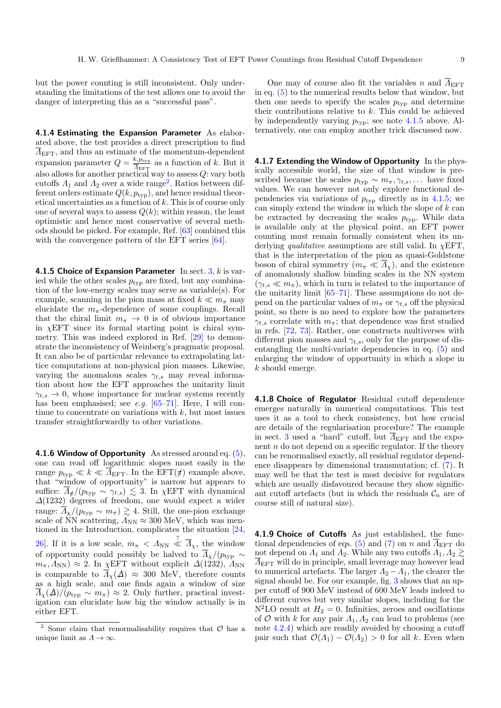but the power counting is still inconsistent. Only understanding the limitations of the test allows one to avoid the danger of interpreting this as a "successful pass".

<span id="page-8-0"></span>4.1.4 Estimating the Expansion Parameter As elaborated above, the test provides a direct prescription to find  $\overline{A}_{\text{EFT}}$ , and thus an estimate of the momentum-dependent expansion parameter  $Q = \frac{k, p_{\text{typ}}}{4}$  $\frac{\kappa_{,p_{\text{typ}}}}{\Lambda_{\text{EFT}}}$  as a function of k. But it also allows for another practical way to assess Q: vary both cutoffs  $\Lambda_1$  and  $\Lambda_2$  $\Lambda_2$  over a wide range<sup>2</sup>. Ratios between different orders estimate  $Q(k, p_{\text{typ}})$ , and hence residual theoretical uncertainties as a function of k. This is of course only one of several ways to assess  $Q(k)$ ; within reason, the least optimistic and hence most conservative of several methods should be picked. For example, Ref. [\[63\]](#page-14-17) combined this with the convergence pattern of the EFT series [\[64\]](#page-14-18).

<span id="page-8-5"></span>4.1.5 Choice of Expansion Parameter In sect.  $3, k$  $3, k$  is varied while the other scales  $p_{\text{typ}}$  are fixed, but any combination of the low-energy scales may serve as variable(s). For example, scanning in the pion mass at fixed  $k \ll m_\pi$  may elucidate the  $m<sub>\pi</sub>$ -dependence of some couplings. Recall that the chiral limit  $m_{\pi} \rightarrow 0$  is of obvious importance in  $\chi$ EFT since its formal starting point is chiral symmetry. This was indeed explored in Ref. [\[29\]](#page-13-24) to demonstrate the inconsistency of Weinberg's pragmatic proposal. It can also be of particular relevance to extrapolating lattice computations at non-physical pion masses. Likewise, varying the anomalous scales  $\gamma_{t,s}$  may reveal information about how the EFT approaches the unitarity limit  $\gamma_{t,s} \to 0$ , whose importance for nuclear systems recently has been emphasised; see e.g.  $[65-71]$  $[65-71]$ . Here, I will continue to concentrate on variations with  $k$ , but most issues transfer straightforwardly to other variations.

<span id="page-8-4"></span>**4.1.6 Window of Opportunity** As stressed around eq.  $(5)$ , one can read off logarithmic slopes most easily in the range  $p_{\text{typ}} \ll k \ll \overline{\Lambda}_{\text{EFT}}$ . In the EFT( $\#$ ) example above, that "window of opportunity" is narrow but appears to suffice:  $\overline{\Lambda}_{\sharp}/(p_{\text{typ}} \sim \gamma_{t,s}) \lesssim 3$ . In  $\chi$ EFT with dynamical  $\Delta(1232)$  degrees of freedom, one would expect a wider range:  $\Lambda_{\chi}/(p_{\text{typ}} \sim m_{\pi}) \gtrsim 4$ . Still, the one-pion exchange scale of NN scattering,  $\Lambda_{NN} \approx 300$  MeV, which was mentioned in the Introduction, complicates the situation [\[24,](#page-13-20) 26. If it is a low scale,  $m_{\pi} < \Lambda_{\text{NN}} \ll \overline{\Lambda}_{\chi}$ , the window of opportunity could possibly be halved to  $\overline{\Lambda}_{\chi}/(p_{\text{typ}} \sim$  $m_{\pi}, \Lambda_{NN}$ ) ≈ 2. In  $\chi$ EFT without explicit  $\Delta(1232)$ ,  $\Lambda_{NN}$ is comparable to  $\overline{\Lambda}_{\chi}(\Delta) \approx 300$  MeV, therefore counts as a high scale, and one finds again a window of size  $\overline{\Lambda}_{\chi}(\Delta)/(p_{\text{typ}} \sim m_{\pi}) \approx 2$ . Only further, practical investigation can elucidate how big the window actually is in either EFT.

One may of course also fit the variables n and  $\overline{A}_{\text{EFT}}$ in eq. [\(5\)](#page-4-1) to the numerical results below that window, but then one needs to specify the scales  $p_{\text{typ}}$  and determine their contributions relative to  $k$ . This could be achieved by independently varying  $p_{\text{typ}}$ ; see note [4.1.5](#page-8-5) above. Alternatively, one can employ another trick discussed now.

<span id="page-8-3"></span>4.1.7 Extending the Window of Opportunity In the physically accessible world, the size of that window is prescribed because the scales  $p_{\text{typ}} \sim m_{\pi}, \gamma_{t,s}, \dots$  have fixed values. We can however not only explore functional dependencies via variations of  $p_{\text{typ}}$  directly as in [4.1.5;](#page-8-5) we can simply extend the window in which the slope of  $k$  can be extracted by decreasing the scales  $p_{\text{two}}$ . While data is available only at the physical point, an EFT power counting must remain formally consistent when its underlying qualitative assumptions are still valid. In  $\chi$ EFT, that is the interpretation of the pion as quasi-Goldstone boson of chiral symmetry  $(m_\pi \ll \overline{\Lambda}_\chi)$ , and the existence of anomalously shallow binding scales in the NN system  $(\gamma_{t,s} \ll m_\pi)$ , which in turn is related to the importance of the unitarity limit [\[65–](#page-14-19)[71\]](#page-14-20). These assumptions do not depend on the particular values of  $m_{\pi}$  or  $\gamma_{t,s}$  off the physical point, so there is no need to explore how the parameters  $\gamma_{t,s}$  correlate with  $m_{\pi}$ ; that dependence was first studied in refs. [\[72,](#page-14-21) [73\]](#page-14-22). Rather, one constructs multiverses with different pion masses and  $\gamma_{t,s}$ , only for the purpose of disentangling the multi-variate dependencies in eq. [\(5\)](#page-4-1) and enlarging the window of opportunity in which a slope in k should emerge.

<span id="page-8-1"></span>4.1.8 Choice of Regulator Residual cutoff dependence emerges naturally in numerical computations. This test uses it as a tool to check consistency, but how crucial are details of the regularisation procedure? The example in sect. [3](#page-6-0) used a "hard" cutoff, but  $\overline{A}_{\text{EFT}}$  and the exponent  $n$  do not depend on a specific regulator. If the theory can be renormalised exactly, all residual regulator dependence disappears by dimensional transmutation; cf. [\(7\)](#page-4-2). It may well be that the test is most decisive for regulators which are usually disfavoured because they show significant cutoff artefacts (but in which the residuals  $\mathcal{C}_n$  are of course still of natural size).

<span id="page-8-2"></span>4.1.9 Choice of Cutoffs As just established, the func-tional dependencies of eqs. [\(5\)](#page-4-1) and [\(7\)](#page-4-2) on n and  $\overline{\Lambda}_{\text{EFT}}$  do not depend on  $\Lambda_1$  and  $\Lambda_2$ . While any two cutoffs  $\Lambda_1, \Lambda_2 \gtrsim$  $\Lambda_{\rm EFT}$  will do in principle, small leverage may however lead to numerical artefacts. The larger  $\Lambda_2 - \Lambda_1$ , the clearer the signal should be. For our example, fig. [3](#page-9-1) shows that an upper cutoff of 900 MeV instead of 600 MeV leads indeed to different curves but very similar slopes, including for the  $N^2LO$  result at  $H_2 = 0$ . Infinities, zeroes and oscillations of  $\mathcal O$  with k for any pair  $\Lambda_1, \Lambda_2$  can lead to problems (see note [4.2.4\)](#page-10-0) which are readily avoided by choosing a cutoff pair such that  $\mathcal{O}(A_1) - \mathcal{O}(A_2) > 0$  for all k. Even when

<span id="page-8-6"></span>Some claim that renormalisability requires that  $\mathcal O$  has a unique limit as  $\Lambda \to \infty$ .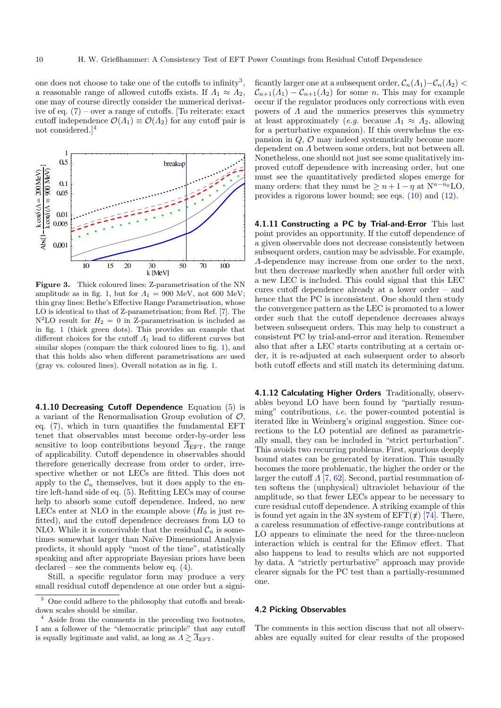one does not choose to take one of the cutoffs to infinity<sup>[3](#page-9-3)</sup>, a reasonable range of allowed cutoffs exists. If  $\Lambda_1 \approx \Lambda_2$ , one may of course directly consider the numerical derivative of eq.  $(7)$  – over a range of cutoffs. [To reiterate: exact cutoff independence  $\mathcal{O}(\Lambda_1) \equiv \mathcal{O}(\Lambda_2)$  for any cutoff pair is not considered.][4](#page-9-4)



<span id="page-9-1"></span>Figure 3. Thick coloured lines: Z-parametrisation of the NN amplitude as in fig. [1,](#page-6-1) but for  $\Lambda_1 = 900$  MeV, not 600 MeV; thin gray lines: Bethe's Effective Range Parametrisation, whose LO is identical to that of Z-parametrisation; from Ref. [\[7\]](#page-13-5). The  $N^2LO$  result for  $H_2 = 0$  in Z-parametrisation is included as in fig. [1](#page-6-1) (thick green dots). This provides an example that different choices for the cutoff  $\Lambda_1$  lead to different curves but similar slopes (compare the thick coloured lines to fig. [1\)](#page-6-1), and that this holds also when different parametrisations are used (gray vs. coloured lines). Overall notation as in fig. [1.](#page-6-1)

4.1.10 Decreasing Cutoff Dependence Equation  $(5)$  is a variant of the Renormalisation Group evolution of  $\mathcal{O}$ , eq. [\(7\)](#page-4-2), which in turn quantifies the fundamental EFT tenet that observables must become order-by-order less sensitive to loop contributions beyond  $\overline{A}_{\text{EFT}}$ , the range of applicability. Cutoff dependence in observables should therefore generically decrease from order to order, irrespective whether or not LECs are fitted. This does not apply to the  $\mathcal{C}_n$  themselves, but it does apply to the entire left-hand side of eq. [\(5\)](#page-4-1). Refitting LECs may of course help to absorb some cutoff dependence. Indeed, no new LECs enter at NLO in the example above  $(H_0)$  is just refitted), and the cutoff dependence decreases from LO to NLO. While it is conceivable that the residual  $\mathcal{C}_n$  is sometimes somewhat larger than Naïve Dimensional Analysis predicts, it should apply "most of the time", statistically speaking and after appropriate Bayesian priors have been declared – see the comments below eq.  $(4)$ .

Still, a specific regulator form may produce a very small residual cutoff dependence at one order but a significantly larger one at a subsequent order,  $\mathcal{C}_n(\Lambda_1)-\mathcal{C}_n(\Lambda_2)$  $\mathcal{C}_{n+1}(A_1) - \mathcal{C}_{n+1}(A_2)$  for some n. This may for example occur if the regulator produces only corrections with even powers of  $\Lambda$  and the numerics preserves this symmetry at least approximately (*e.g.* because  $\Lambda_1 \approx \Lambda_2$ , allowing for a perturbative expansion). If this overwhelms the expansion in  $Q$ ,  $\mathcal{O}$  may indeed systematically become more dependent on Λ between some orders, but not between all. Nonetheless, one should not just see some qualitatively improved cutoff dependence with increasing order, but one must see the quantitatively predicted slopes emerge for many orders: that they must be  $\geq n+1-\eta$  at  $N^{n-n_0}$ LO, provides a rigorous lower bound; see eqs. [\(10\)](#page-5-1) and [\(12\)](#page-7-6).

4.1.11 Constructing a PC by Trial-and-Error This last point provides an opportunity. If the cutoff dependence of a given observable does not decrease consistently between subsequent orders, caution may be advisable. For example, Λ-dependence may increase from one order to the next, but then decrease markedly when another full order with a new LEC is included. This could signal that this LEC cures cutoff dependence already at a lower order – and hence that the PC is inconsistent. One should then study the convergence pattern as the LEC is promoted to a lower order such that the cutoff dependence decreases always between subsequent orders. This may help to construct a consistent PC by trial-and-error and iteration. Remember also that after a LEC starts contributing at a certain order, it is re-adjusted at each subsequent order to absorb both cutoff effects and still match its determining datum.

<span id="page-9-2"></span>4.1.12 Calculating Higher Orders Traditionally, observables beyond LO have been found by "partially resumming" contributions, i.e. the power-counted potential is iterated like in Weinberg's original suggestion. Since corrections to the LO potential are defined as parametrically small, they can be included in "strict perturbation". This avoids two recurring problems. First, spurious deeply bound states can be generated by iteration. This usually becomes the more problematic, the higher the order or the larger the cutoff  $\Lambda$  [\[7,](#page-13-5) [62\]](#page-14-16). Second, partial resummation often softens the (unphysical) ultraviolet behaviour of the amplitude, so that fewer LECs appear to be necessary to cure residual cutoff dependence. A striking example of this is found yet again in the 3N system of  $EFT(\tau)$  [\[74\]](#page-14-23). There, a careless resummation of effective-range contributions at LO appears to eliminate the need for the three-nucleon interaction which is central for the Efimov effect. That also happens to lead to results which are not supported by data. A "strictly perturbative" approach may provide clearer signals for the PC test than a partially-resummed one.

#### <span id="page-9-0"></span>4.2 Picking Observables

The comments in this section discuss that not all observables are equally suited for clear results of the proposed

<span id="page-9-3"></span><sup>3</sup> One could adhere to the philosophy that cutoffs and breakdown scales should be similar.

<span id="page-9-4"></span><sup>4</sup> Aside from the comments in the preceding two footnotes, I am a follower of the "democratic principle" that any cutoff is equally legitimate and valid, as long as  $\Lambda \gtrsim \overline{\Lambda}_{\text{EFT}}$ .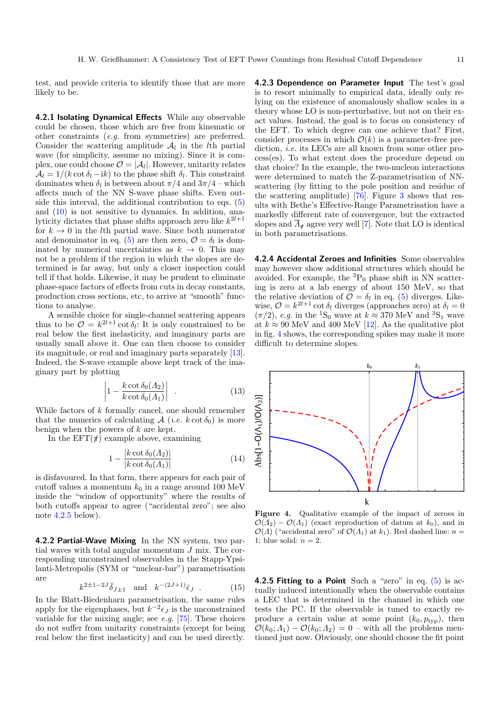test, and provide criteria to identify those that are more likely to be.

4.2.1 Isolating Dynamical Effects While any observable could be chosen, those which are free from kinematic or other constraints (e.g. from symmetries) are preferred. Consider the scattering amplitude  $A_l$  in the lth partial wave (for simplicity, assume no mixing). Since it is complex, one could choose  $\mathcal{O} = |\mathcal{A}_l|$ . However, unitarity relates  $\mathcal{A}_l = 1/(k \cot \delta_l - i k)$  to the phase shift  $\delta_l$ . This constraint dominates when  $\delta_l$  is between about  $\pi/4$  and  $3\pi/4$  – which affects much of the NN S-wave phase shifts. Even outside this interval, the additional contribution to eqs. [\(5\)](#page-4-1) and [\(10\)](#page-5-1) is not sensitive to dynamics. In addition, analyticity dictates that phase shifts approach zero like  $k^{2l+1}$ for  $k \to 0$  in the *l*th partial wave. Since both numerator and denominator in eq. [\(5\)](#page-4-1) are then zero,  $\mathcal{O} = \delta_l$  is dominated by numerical uncertainties as  $k \rightarrow 0$ . This may not be a problem if the region in which the slopes are determined is far away, but only a closer inspection could tell if that holds. Likewise, it may be prudent to eliminate phase-space factors of effects from cuts in decay constants, production cross sections, etc, to arrive at "smooth" functions to analyse.

A sensible choice for single-channel scattering appears thus to be  $\mathcal{O} = k^{2l+1} \cot \delta_l$ : It is only constrained to be real below the first inelasticity, and imaginary parts are usually small above it. One can then choose to consider its magnitude, or real and imaginary parts separately [\[13\]](#page-13-11). Indeed, the S-wave example above kept track of the imaginary part by plotting

$$
\left| 1 - \frac{k \cot \delta_0(A_2)}{k \cot \delta_0(A_1)} \right| \tag{13}
$$

While factors of k formally cancel, one should remember that the numerics of calculating  $\mathcal{A}$  (*i.e.*  $k \cot \delta_0$ ) is more benign when the powers of k are kept.

In the  $EFT(\#)$  example above, examining

$$
1 - \frac{|k \cot \delta_0(A_2)|}{|k \cot \delta_0(A_1)|}\tag{14}
$$

is disfavoured. In that form, there appears for each pair of cutoff values a momentum  $k_0$  in a range around 100 MeV inside the "window of opportunity" where the results of both cutoffs appear to agree ("accidental zero"; see also note  $4.2.5$  below).

4.2.2 Partial-Wave Mixing In the NN system, two partial waves with total angular momentum J mix. The corresponding unconstrained observables in the Stapp-Ypsilanti-Metropolis (SYM or "nuclear-bar") parametrisation are

$$
k^{2\pm 1-2J} \bar{\delta}_{J\pm 1}
$$
 and  $k^{-(2J+1)} \bar{\epsilon}_J$ . (15)

In the Blatt-Biedenharn parametrisation, the same rules apply for the eigenphases, but  $k^{-2} \epsilon_j$  is the unconstrained variable for the mixing angle; see  $e.g.$  [\[75\]](#page-14-24). These choices do not suffer from unitarity constraints (except for being real below the first inelasticity) and can be used directly.

4.2.3 Dependence on Parameter Input The test's goal is to resort minimally to empirical data, ideally only relying on the existence of anomalously shallow scales in a theory whose LO is non-perturbative, but not on their exact values. Instead, the goal is to focus on consistency of the EFT. To which degree can one achieve that? First, consider processes in which  $\mathcal{O}(k)$  is a parameter-free prediction, *i.e.* its LECs are all known from some other process(es). To what extent does the procedure depend on that choice? In the example, the two-nucleon interactions were determined to match the Z-parametrisation of NNscattering (by fitting to the pole position and residue of the scattering amplitude) [\[76\]](#page-14-25). Figure [3](#page-9-1) shows that results with Bethe's Effective-Range Parametrisation have a markedly different rate of convergence, but the extracted slopes and  $\overline{\Lambda}_\sharp$  agree very well [\[7\]](#page-13-5). Note that LO is identical in both parametrisations.

<span id="page-10-0"></span>4.2.4 Accidental Zeroes and Infinities Some observables may however show additional structures which should be avoided. For example, the  ${}^{3}P_0$  phase shift in NN scattering is zero at a lab energy of about 150 MeV, so that the relative deviation of  $\mathcal{O} = \delta_l$  in eq. [\(5\)](#page-4-1) diverges. Likewise,  $\mathcal{O} = k^{2l+1} \cot \delta_l$  diverges (approaches zero) at  $\delta_l = 0$  $(\pi/2)$ , e.g. in the <sup>1</sup>S<sub>0</sub> wave at  $k \approx 370$  MeV and <sup>3</sup>S<sub>1</sub> wave at  $k \approx 90$  MeV and 400 MeV [\[12\]](#page-13-10). As the qualitative plot in fig. [4](#page-10-2) shows, the corresponding spikes may make it more difficult to determine slopes.



<span id="page-10-2"></span>Figure 4. Qualitative example of the impact of zeroes in  $\mathcal{O}(\Lambda_2) - \mathcal{O}(\Lambda_1)$  (exact reproduction of datum at  $k_0$ ), and in  $\mathcal{O}(\Lambda)$  ("accidental zero" of  $\mathcal{O}(\Lambda_1)$  at  $k_1$ ). Red dashed line:  $n =$ 1: blue solid:  $n = 2$ .

<span id="page-10-1"></span>**4.2.5 Fitting to a Point** Such a "zero" in eq.  $(5)$  is actually induced intentionally when the observable contains a LEC that is determined in the channel in which one tests the PC. If the observable is tuned to exactly reproduce a certain value at some point  $(k_0, p_{\text{typ}})$ , then  $\mathcal{O}(k_0; \Lambda_1) - \mathcal{O}(k_0; \Lambda_2) = 0$  – with all the problems mentioned just now. Obviously, one should choose the fit point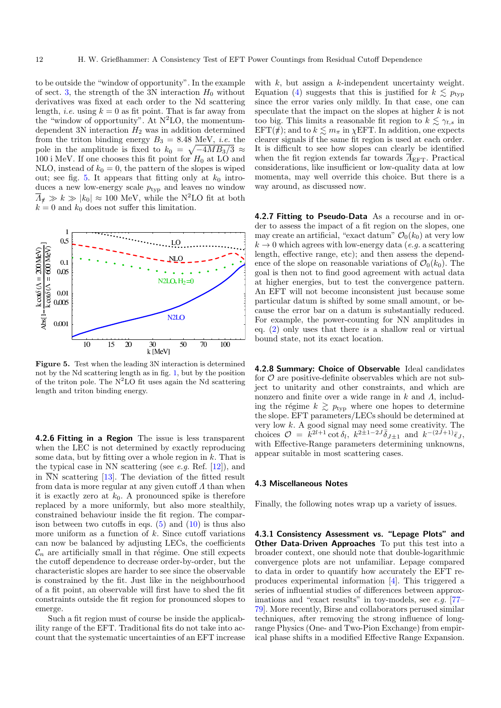to be outside the "window of opportunity". In the example of sect. [3,](#page-6-0) the strength of the 3N interaction  $H_0$  without derivatives was fixed at each order to the Nd scattering length, *i.e.* using  $k = 0$  as fit point. That is far away from the "window of opportunity". At  $N^2LO$ , the momentumdependent 3N interaction  $H_2$  was in addition determined from the triton binding energy  $B_3 = 8.48$  MeV, *i.e.* the pole in the amplitude is fixed to  $k_0 = \sqrt{-4MB_3/3} \approx$ 100 i MeV. If one chooses this fit point for  $H_0$  at LO and NLO, instead of  $k_0 = 0$ , the pattern of the slopes is wiped out; see fig. [5.](#page-11-1) It appears that fitting only at  $k_0$  introduces a new low-energy scale  $p_{\text{typ}}$  and leaves no window  $\overline{\Lambda}_t \gg k \gg |k_0| \approx 100$  MeV, while the N<sup>2</sup>LO fit at both  $k = 0$  and  $k_0$  does not suffer this limitation.



<span id="page-11-1"></span>Figure 5. Test when the leading 3N interaction is determined not by the Nd scattering length as in fig. [1,](#page-6-1) but by the position of the triton pole. The  $N^2LO$  fit uses again the Nd scattering length and triton binding energy.

4.2.6 Fitting in a Region The issue is less transparent when the LEC is not determined by exactly reproducing some data, but by fitting over a whole region in  $k$ . That is the typical case in NN scattering (see *e.g.* Ref.  $[12]$ ), and in  $\overline{N}N$  scattering [\[13\]](#page-13-11). The deviation of the fitted result from data is more regular at any given cutoff  $\Lambda$  than when it is exactly zero at  $k_0$ . A pronounced spike is therefore replaced by a more uniformly, but also more stealthily, constrained behaviour inside the fit region. The comparison between two cutoffs in eqs.  $(5)$  and  $(10)$  is thus also more uniform as a function of  $k$ . Since cutoff variations can now be balanced by adjusting LECs, the coefficients  $\mathcal{C}_n$  are artificially small in that régime. One still expects the cutoff dependence to decrease order-by-order, but the characteristic slopes are harder to see since the observable is constrained by the fit. Just like in the neighbourhood of a fit point, an observable will first have to shed the fit constraints outside the fit region for pronounced slopes to emerge.

Such a fit region must of course be inside the applicability range of the EFT. Traditional fits do not take into account that the systematic uncertainties of an EFT increase with  $k$ , but assign a  $k$ -independent uncertainty weight. Equation [\(4\)](#page-3-2) suggests that this is justified for  $k \leq p_{\text{typ}}$ since the error varies only mildly. In that case, one can speculate that the impact on the slopes at higher  $k$  is not too big. This limits a reasonable fit region to  $k \lesssim \gamma_{t,s}$  in EFT( $\pi$ ); and to  $k \lesssim m_{\pi}$  in  $\chi$ EFT. In addition, one expects clearer signals if the same fit region is used at each order. It is difficult to see how slopes can clearly be identified when the fit region extends far towards  $\overline{A}_{\text{EFT}}$ . Practical considerations, like insufficient or low-quality data at low momenta, may well override this choice. But there is a way around, as discussed now.

4.2.7 Fitting to Pseudo-Data As a recourse and in order to assess the impact of a fit region on the slopes, one may create an artificial, "exact datum"  $\mathcal{O}_0(k_0)$  at very low  $k \to 0$  which agrees with low-energy data (e.g. a scattering length, effective range, etc); and then assess the dependence of the slope on reasonable variations of  $\mathcal{O}_0(k_0)$ . The goal is then not to find good agreement with actual data at higher energies, but to test the convergence pattern. An EFT will not become inconsistent just because some particular datum is shifted by some small amount, or because the error bar on a datum is substantially reduced. For example, the power-counting for NN amplitudes in eq. [\(2\)](#page-1-0) only uses that there is a shallow real or virtual bound state, not its exact location.

4.2.8 Summary: Choice of Observable Ideal candidates for  $\mathcal O$  are positive-definite observables which are not subject to unitarity and other constraints, and which are nonzero and finite over a wide range in  $k$  and  $\Lambda$ , including the régime  $k \geq p_{\text{typ}}$  where one hopes to determine the slope. EFT parameters/LECs should be determined at very low k. A good signal may need some creativity. The choices  $\mathcal{O} = \tilde{k}^{2l+1} \cot \delta_l$ ,  $k^{2l+1-2J} \bar{\delta}_{J\pm 1}$  and  $k^{-(2J+1)} \bar{\epsilon}_J$ , with Effective-Range parameters determining unknowns, appear suitable in most scattering cases.

#### <span id="page-11-0"></span>4.3 Miscellaneous Notes

Finally, the following notes wrap up a variety of issues.

4.3.1 Consistency Assessment vs. "Lepage Plots" and Other Data-Driven Approaches To put this test into a broader context, one should note that double-logarithmic convergence plots are not unfamiliar. Lepage compared to data in order to quantify how accurately the EFT reproduces experimental information [\[4\]](#page-13-2). This triggered a series of influential studies of differences between approx-imations and "exact results" in toy-models, see e.g. [\[77–](#page-14-26) [79\]](#page-14-27). More recently, Birse and collaborators perused similar techniques, after removing the strong influence of longrange Physics (One- and Two-Pion Exchange) from empirical phase shifts in a modified Effective Range Expansion.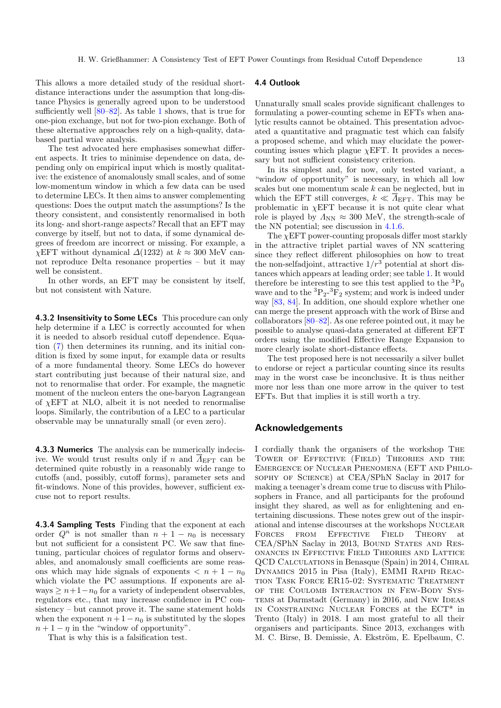This allows a more detailed study of the residual shortdistance interactions under the assumption that long-distance Physics is generally agreed upon to be understood sufficiently well [\[80–](#page-14-28)[82\]](#page-14-29). As table [1](#page-3-1) shows, that is true for one-pion exchange, but not for two-pion exchange. Both of these alternative approaches rely on a high-quality, databased partial wave analysis.

The test advocated here emphasises somewhat different aspects. It tries to minimise dependence on data, depending only on empirical input which is mostly qualitative: the existence of anomalously small scales, and of some low-momentum window in which a few data can be used to determine LECs. It then aims to answer complementing questions: Does the output match the assumptions? Is the theory consistent, and consistently renormalised in both its long- and short-range aspects? Recall that an EFT may converge by itself, but not to data, if some dynamical degrees of freedom are incorrect or missing. For example, a  $\chi$ EFT without dynamical  $\Delta(1232)$  at  $k \approx 300$  MeV cannot reproduce Delta resonance properties – but it may well be consistent.

In other words, an EFT may be consistent by itself, but not consistent with Nature.

4.3.2 Insensitivity to Some LECs This procedure can only help determine if a LEC is correctly accounted for when it is needed to absorb residual cutoff dependence. Equation [\(7\)](#page-4-2) then determines its running, and its initial condition is fixed by some input, for example data or results of a more fundamental theory. Some LECs do however start contributing just because of their natural size, and not to renormalise that order. For example, the magnetic moment of the nucleon enters the one-baryon Lagrangean of  $\chi$ EFT at NLO, albeit it is not needed to renormalise loops. Similarly, the contribution of a LEC to a particular observable may be unnaturally small (or even zero).

4.3.3 Numerics The analysis can be numerically indecisive. We would trust results only if n and  $\overline{A}_{\text{EFT}}$  can be determined quite robustly in a reasonably wide range to cutoffs (and, possibly, cutoff forms), parameter sets and fit-windows. None of this provides, however, sufficient excuse not to report results.

<span id="page-12-0"></span>4.3.4 Sampling Tests Finding that the exponent at each order  $Q^n$  is not smaller than  $n + 1 - n_0$  is necessary but not sufficient for a consistent PC. We saw that finetuning, particular choices of regulator forms and observables, and anomalously small coefficients are some reasons which may hide signals of exponents  $\langle n+1-n_0 \rangle$ which violate the PC assumptions. If exponents are always  $\geq n+1-n_0$  for a variety of independent observables, regulators etc., that may increase confidence in PC consistency – but cannot prove it. The same statement holds when the exponent  $n + 1 - n_0$  is substituted by the slopes  $n + 1 - \eta$  in the "window of opportunity".

That is why this is a falsification test.

#### 4.4 Outlook

Unnaturally small scales provide significant challenges to formulating a power-counting scheme in EFTs when analytic results cannot be obtained. This presentation advocated a quantitative and pragmatic test which can falsify a proposed scheme, and which may elucidate the powercounting issues which plague  $\chi$ EFT. It provides a necessary but not sufficient consistency criterion.

In its simplest and, for now, only tested variant, a "window of opportunity" is necessary, in which all low scales but one momentum scale  $k$  can be neglected, but in which the EFT still converges,  $k \ll \overline{A}_{\text{EFT}}$ . This may be problematic in  $\chi$ EFT because it is not quite clear what role is played by  $\Lambda_{NN} \approx 300$  MeV, the strength-scale of the NN potential; see discussion in [4.1.6.](#page-8-4)

The  $\chi$ EFT power-counting proposals differ most starkly in the attractive triplet partial waves of NN scattering since they reflect different philosophies on how to treat the non-selfadjoint, attractive  $1/r^3$  potential at short distances which appears at leading order; see table [1.](#page-3-1) It would therefore be interesting to see this test applied to the  ${}^{3}P_{0}$ wave and to the  ${}^{3}P_{2}$ - ${}^{3}F_{2}$  system; and work is indeed under way [\[83,](#page-14-30) [84\]](#page-14-31). In addition, one should explore whether one can merge the present approach with the work of Birse and collaborators [\[80–](#page-14-28)[82\]](#page-14-29). As one referee pointed out, it may be possible to analyse quasi-data generated at different EFT orders using the modified Effective Range Expansion to more clearly isolate short-distance effects.

The test proposed here is not necessarily a silver bullet to endorse or reject a particular counting since its results may in the worst case be inconclusive. It is thus neither more nor less than one more arrow in the quiver to test EFTs. But that implies it is still worth a try.

#### Acknowledgements

I cordially thank the organisers of the workshop The Tower of Effective (Field) Theories and the Emergence of Nuclear Phenomena (EFT and Philosophy of Science) at CEA/SPhN Saclay in 2017 for making a teenager's dream come true to discuss with Philosophers in France, and all participants for the profound insight they shared, as well as for enlightening and entertaining discussions. These notes grew out of the inspirational and intense discourses at the workshops Nuclear Forces from Effective Field Theory at CEA/SPhN Saclay in 2013, Bound States and Resonances in Effective Field Theories and Lattice QCD Calculations in Benasque (Spain) in 2014, Chiral DYNAMICS 2015 in Pisa (Italy), EMMI RAPID REACtion Task Force ER15-02: Systematic Treatment of the Coulomb Interaction in Few-Body Sys-TEMS at Darmstadt (Germany) in 2016, and New IDEAS IN CONSTRAINING NUCLEAR FORCES at the  $\mathrm{ECT}^*$  in Trento (Italy) in 2018. I am most grateful to all their organisers and participants. Since 2013, exchanges with M. C. Birse, B. Demissie, A. Ekström, E. Epelbaum, C.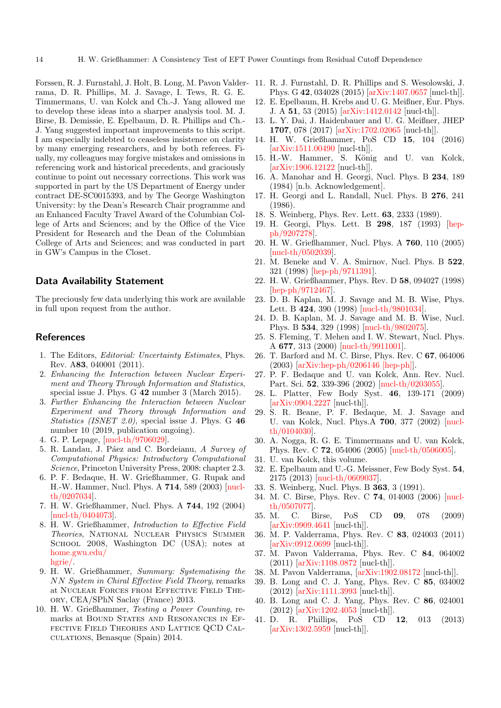Forssen, R. J. Furnstahl, J. Holt, B. Long, M. Pavon Valderrama, D. R. Phillips, M. J. Savage, I. Tews, R. G. E. Timmermans, U. van Kolck and Ch.-J. Yang allowed me to develop these ideas into a sharper analysis tool. M. J. Birse, B. Demissie, E. Epelbaum, D. R. Phillips and Ch.- J. Yang suggested important improvements to this script. I am especially indebted to ceaseless insistence on clarity by many emerging researchers, and by both referees. Finally, my colleagues may forgive mistakes and omissions in referencing work and historical precedents, and graciously continue to point out necessary corrections. This work was supported in part by the US Department of Energy under contract DE-SC0015393, and by The George Washington University: by the Dean's Research Chair programme and an Enhanced Faculty Travel Award of the Columbian College of Arts and Sciences; and by the Office of the Vice President for Research and the Dean of the Columbian College of Arts and Sciences; and was conducted in part in GW's Campus in the Closet.

### Data Availability Statement

The preciously few data underlying this work are available in full upon request from the author.

#### References

- <span id="page-13-0"></span>1. The Editors, Editorial: Uncertainty Estimates, Phys. Rev. A83, 040001 (2011).
- <span id="page-13-37"></span>2. Enhancing the Interaction between Nuclear Experiment and Theory Through Information and Statistics, special issue J. Phys. G 42 number 3 (March 2015).
- <span id="page-13-1"></span>3. Further Enhancing the Interaction between Nuclear Experiment and Theory through Information and Statistics (ISNET 2.0), special issue J. Phys. G 46 number 10 (2019, publication ongoing).
- <span id="page-13-2"></span>4. G. P. Lepage, [\[nucl-th/9706029\]](http://arxiv.org/abs/nucl-th/9706029).
- <span id="page-13-3"></span>5. R. Landau, J. Páez and C. Bordeianu, A Survey of Computational Physics: Introductory Computational Science, Princeton University Press, 2008: chapter 2.3.
- <span id="page-13-4"></span>6. P. F. Bedaque, H. W. Grießhammer, G. Rupak and H.-W. Hammer, Nucl. Phys. A 714, 589 (2003) [\[nucl](http://arxiv.org/abs/nucl-th/0207034)[th/0207034\]](http://arxiv.org/abs/nucl-th/0207034).
- <span id="page-13-5"></span>7. H. W. Grießhammer, Nucl. Phys. A 744, 192 (2004) [\[nucl-th/0404073\]](http://arxiv.org/abs/nucl-th/0404073).
- <span id="page-13-6"></span>8. H. W. Grießhammer, Introduction to Effective Field Theories, National Nuclear Physics Summer SCHOOL 2008, Washington DC (USA); notes at [home.gwu.edu/](http://home.gwu.edu/\ hgrie/lectures/lectures.0806.NNPSS2008-GW.djvu) [hgrie/.](http://home.gwu.edu/\ hgrie/lectures/lectures.0806.NNPSS2008-GW.djvu)
- <span id="page-13-7"></span>9. H. W. Grießhammer, Summary: Systematising the NN System in Chiral Effective Field Theory, remarks at Nuclear Forces from Effective Field Theory, CEA/SPhN Saclay (France) 2013.
- <span id="page-13-8"></span>10. H. W. Grießhammer, Testing a Power Counting, remarks at BOUND STATES AND RESONANCES IN EFfective Field Theories and Lattice QCD Calculations, Benasque (Spain) 2014.
- <span id="page-13-9"></span>11. R. J. Furnstahl, D. R. Phillips and S. Wesolowski, J. Phys. G 42, 034028 (2015) [\[arXiv:1407.0657](http://arxiv.org/abs/1407.0657) [nucl-th]].
- <span id="page-13-10"></span>12. E. Epelbaum, H. Krebs and U. G. Meißner, Eur. Phys. J. A 51, 53 (2015) [\[arXiv:1412.0142](http://arxiv.org/abs/1412.0142) [nucl-th]].
- <span id="page-13-11"></span>13. L. Y. Dai, J. Haidenbauer and U. G. Meißner, JHEP 1707, 078 (2017) [\[arXiv:1702.02065](http://arxiv.org/abs/1702.02065) [nucl-th]].
- <span id="page-13-12"></span>14. H. W. Grießhammer, PoS CD 15, 104 (2016) [\[arXiv:1511.00490](http://arxiv.org/abs/1511.00490) [nucl-th]].
- <span id="page-13-13"></span>15. H.-W. Hammer, S. König and U. van Kolck, [\[arXiv:1906.12122](http://arxiv.org/abs/1906.12122) [nucl-th]].
- <span id="page-13-14"></span>16. A. Manohar and H. Georgi, Nucl. Phys. B 234, 189 (1984) [n.b. Acknowledgement].
- <span id="page-13-36"></span>17. H. Georgi and L. Randall, Nucl. Phys. B 276, 241 (1986).
- 18. S. Weinberg, Phys. Rev. Lett. 63, 2333 (1989).
- 19. H. Georgi, Phys. Lett. B 298, 187 (1993) [\[hep](http://arxiv.org/abs/hep-ph/9207278)[ph/9207278\]](http://arxiv.org/abs/hep-ph/9207278).
- <span id="page-13-15"></span>20. H. W. Grießhammer, Nucl. Phys. A 760, 110 (2005) [\[nucl-th/0502039\]](http://arxiv.org/abs/nucl-th/0502039).
- <span id="page-13-16"></span>21. M. Beneke and V. A. Smirnov, Nucl. Phys. B 522, 321 (1998) [\[hep-ph/9711391\]](http://arxiv.org/abs/hep-ph/9711391).
- <span id="page-13-17"></span>22. H. W. Grießhammer, Phys. Rev. D 58, 094027 (1998) [\[hep-ph/9712467\]](http://arxiv.org/abs/hep-ph/9712467).
- <span id="page-13-18"></span>23. D. B. Kaplan, M. J. Savage and M. B. Wise, Phys. Lett. B 424, 390 (1998) [\[nucl-th/9801034\]](http://arxiv.org/abs/nucl-th/9801034).
- <span id="page-13-20"></span>24. D. B. Kaplan, M. J. Savage and M. B. Wise, Nucl. Phys. B 534, 329 (1998) [\[nucl-th/9802075\]](http://arxiv.org/abs/nucl-th/9802075).
- <span id="page-13-19"></span>25. S. Fleming, T. Mehen and I. W. Stewart, Nucl. Phys. A 677, 313 (2000) [\[nucl-th/9911001\]](http://arxiv.org/abs/nucl-th/9911001).
- <span id="page-13-21"></span>26. T. Barford and M. C. Birse, Phys. Rev. C 67, 064006 (2003) [\[arXiv:hep-ph/0206146 \[hep-ph\]\]](http://arxiv.org/abs/arXiv:hep-ph/0206146 [hep-ph]).
- <span id="page-13-22"></span>27. P. F. Bedaque and U. van Kolck, Ann. Rev. Nucl. Part. Sci. 52, 339-396 (2002) [\[nucl-th/0203055\]](http://arxiv.org/abs/nucl-th/0203055).
- <span id="page-13-23"></span>28. L. Platter, Few Body Syst. 46, 139-171 (2009) [\[arXiv:0904.2227](http://arxiv.org/abs/0904.2227) [nucl-th]].
- <span id="page-13-24"></span>29. S. R. Beane, P. F. Bedaque, M. J. Savage and U. van Kolck, Nucl. Phys.A 700, 377 (2002) [\[nucl](http://arxiv.org/abs/nucl-th/0104030)[th/0104030\]](http://arxiv.org/abs/nucl-th/0104030).
- <span id="page-13-25"></span>30. A. Nogga, R. G. E. Timmermans and U. van Kolck, Phys. Rev. C 72, 054006 (2005) [\[nucl-th/0506005\]](http://arxiv.org/abs/nucl-th/0506005).
- <span id="page-13-26"></span>31. U. van Kolck, this volume.
- <span id="page-13-27"></span>32. E. Epelbaum and U.-G. Meissner, Few Body Syst. 54, 2175 (2013) [\[nucl-th/0609037\]](http://arxiv.org/abs/nucl-th/0609037).
- <span id="page-13-28"></span>33. S. Weinberg, Nucl. Phys. B 363, 3 (1991).
- <span id="page-13-31"></span>34. M. C. Birse, Phys. Rev. C 74, 014003 (2006) [\[nucl](http://arxiv.org/abs/nucl-th/0507077)[th/0507077\]](http://arxiv.org/abs/nucl-th/0507077).
- <span id="page-13-32"></span>35. M. C. Birse, PoS CD 09, 078 (2009) [\[arXiv:0909.4641](http://arxiv.org/abs/0909.4641) [nucl-th]].
- <span id="page-13-33"></span>36. M. P. Valderrama, Phys. Rev. C 83, 024003 (2011) [\[arXiv:0912.0699](http://arxiv.org/abs/0912.0699) [nucl-th]].
- 37. M. Pavon Valderrama, Phys. Rev. C 84, 064002 (2011) [\[arXiv:1108.0872](http://arxiv.org/abs/1108.0872) [nucl-th]].
- <span id="page-13-34"></span>38. M. Pavon Valderrama, [\[arXiv:1902.08172](http://arxiv.org/abs/1902.08172) [nucl-th]].
- <span id="page-13-35"></span>39. B. Long and C. J. Yang, Phys. Rev. C 85, 034002 (2012) [\[arXiv:1111.3993](http://arxiv.org/abs/1111.3993) [nucl-th]].
- <span id="page-13-29"></span>40. B. Long and C. J. Yang, Phys. Rev. C 86, 024001 (2012) [\[arXiv:1202.4053](http://arxiv.org/abs/1202.4053) [nucl-th]].
- <span id="page-13-30"></span>41. D. R. Phillips, PoS CD 12, 013 (2013) [\[arXiv:1302.5959](http://arxiv.org/abs/1302.5959) [nucl-th]].